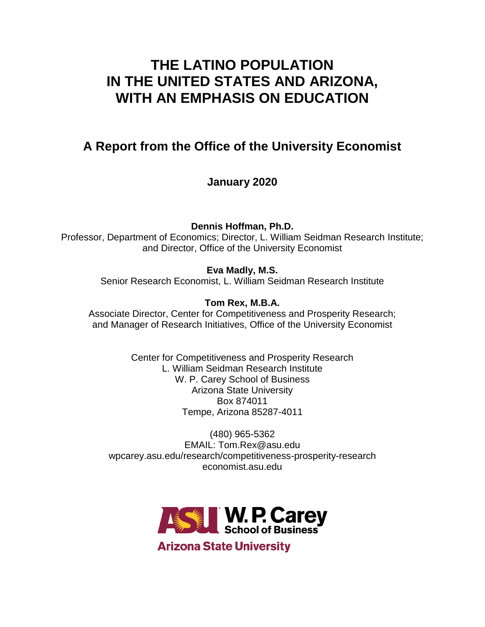# **THE LATINO POPULATION IN THE UNITED STATES AND ARIZONA, WITH AN EMPHASIS ON EDUCATION**

# **A Report from the Office of the University Economist**

**January 2020**

**Dennis Hoffman, Ph.D.**

Professor, Department of Economics; Director, L. William Seidman Research Institute; and Director, Office of the University Economist

**Eva Madly, M.S.** Senior Research Economist, L. William Seidman Research Institute

**Tom Rex, M.B.A.** Associate Director, Center for Competitiveness and Prosperity Research; and Manager of Research Initiatives, Office of the University Economist

> Center for Competitiveness and Prosperity Research L. William Seidman Research Institute W. P. Carey School of Business Arizona State University Box 874011 Tempe, Arizona 85287-4011

(480) 965-5362 EMAIL: Tom.Rex@asu.edu wpcarey.asu.edu/research/competitiveness-prosperity-research economist.asu.edu

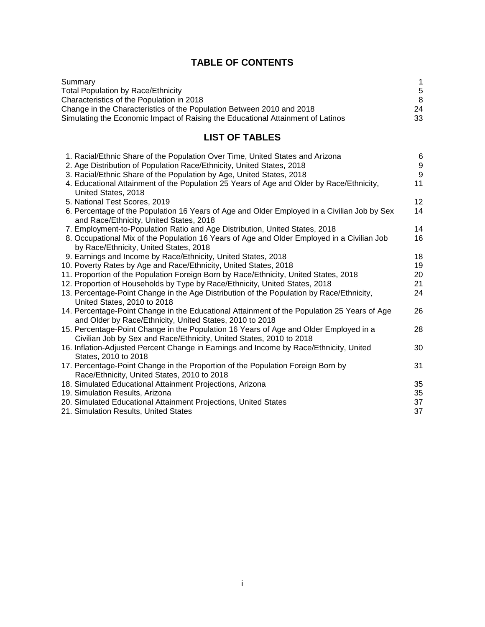# **TABLE OF CONTENTS**

| Summary                                                                         |    |
|---------------------------------------------------------------------------------|----|
| <b>Total Population by Race/Ethnicity</b>                                       | .5 |
| Characteristics of the Population in 2018                                       | 8  |
| Change in the Characteristics of the Population Between 2010 and 2018           | 24 |
| Simulating the Economic Impact of Raising the Educational Attainment of Latinos | 33 |

# **LIST OF TABLES**

| 1. Racial/Ethnic Share of the Population Over Time, United States and Arizona                                                                                | 6                |
|--------------------------------------------------------------------------------------------------------------------------------------------------------------|------------------|
| 2. Age Distribution of Population Race/Ethnicity, United States, 2018                                                                                        | $\boldsymbol{9}$ |
| 3. Racial/Ethnic Share of the Population by Age, United States, 2018                                                                                         | $\overline{9}$   |
| 4. Educational Attainment of the Population 25 Years of Age and Older by Race/Ethnicity,<br>United States, 2018                                              | 11               |
| 5. National Test Scores, 2019                                                                                                                                | 12               |
| 6. Percentage of the Population 16 Years of Age and Older Employed in a Civilian Job by Sex<br>and Race/Ethnicity, United States, 2018                       | 14               |
| 7. Employment-to-Population Ratio and Age Distribution, United States, 2018                                                                                  | 14               |
| 8. Occupational Mix of the Population 16 Years of Age and Older Employed in a Civilian Job<br>by Race/Ethnicity, United States, 2018                         | 16               |
| 9. Earnings and Income by Race/Ethnicity, United States, 2018                                                                                                | 18               |
| 10. Poverty Rates by Age and Race/Ethnicity, United States, 2018                                                                                             | 19               |
| 11. Proportion of the Population Foreign Born by Race/Ethnicity, United States, 2018                                                                         | 20               |
| 12. Proportion of Households by Type by Race/Ethnicity, United States, 2018                                                                                  | 21               |
| 13. Percentage-Point Change in the Age Distribution of the Population by Race/Ethnicity,                                                                     | 24               |
| United States, 2010 to 2018                                                                                                                                  |                  |
| 14. Percentage-Point Change in the Educational Attainment of the Population 25 Years of Age<br>and Older by Race/Ethnicity, United States, 2010 to 2018      | 26               |
| 15. Percentage-Point Change in the Population 16 Years of Age and Older Employed in a<br>Civilian Job by Sex and Race/Ethnicity, United States, 2010 to 2018 | 28               |
| 16. Inflation-Adjusted Percent Change in Earnings and Income by Race/Ethnicity, United                                                                       | 30               |
| States, 2010 to 2018                                                                                                                                         |                  |
| 17. Percentage-Point Change in the Proportion of the Population Foreign Born by                                                                              | 31               |
| Race/Ethnicity, United States, 2010 to 2018                                                                                                                  |                  |
| 18. Simulated Educational Attainment Projections, Arizona                                                                                                    | 35               |
| 19. Simulation Results, Arizona                                                                                                                              | 35               |
| 20. Simulated Educational Attainment Projections, United States                                                                                              | 37               |
| 21. Simulation Results, United States                                                                                                                        | 37               |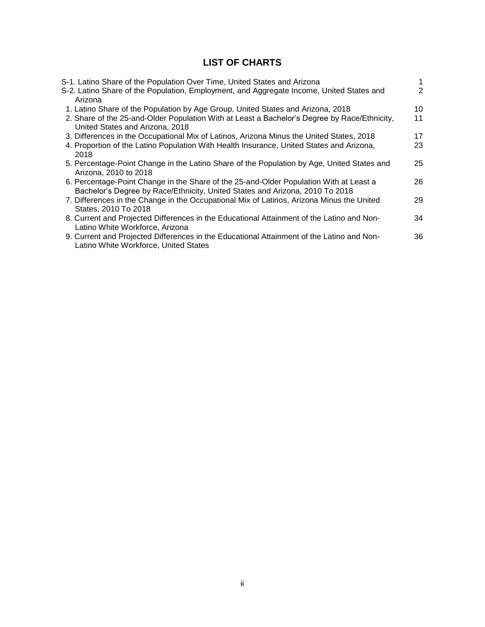# **LIST OF CHARTS**

| S-1. Latino Share of the Population Over Time, United States and Arizona                     |    |
|----------------------------------------------------------------------------------------------|----|
| S-2. Latino Share of the Population, Employment, and Aggregate Income, United States and     | 2  |
| Arizona                                                                                      |    |
| 1. Latino Share of the Population by Age Group, United States and Arizona, 2018              | 10 |
| 2. Share of the 25-and-Older Population With at Least a Bachelor's Degree by Race/Ethnicity, | 11 |
| United States and Arizona, 2018                                                              |    |
| 3. Differences in the Occupational Mix of Latinos, Arizona Minus the United States, 2018     | 17 |
| 4. Proportion of the Latino Population With Health Insurance, United States and Arizona,     | 23 |
| 2018                                                                                         |    |
| 5. Percentage-Point Change in the Latino Share of the Population by Age, United States and   | 25 |
| Arizona, 2010 to 2018                                                                        |    |
| 6. Percentage-Point Change in the Share of the 25-and-Older Population With at Least a       | 26 |
| Bachelor's Degree by Race/Ethnicity, United States and Arizona, 2010 To 2018                 |    |
| 7. Differences in the Change in the Occupational Mix of Latinos, Arizona Minus the United    | 29 |
| States, 2010 To 2018                                                                         |    |
| 8. Current and Projected Differences in the Educational Attainment of the Latino and Non-    | 34 |
| Latino White Workforce, Arizona                                                              |    |
| 9. Current and Projected Differences in the Educational Attainment of the Latino and Non-    | 36 |
| Latino White Workforce, United States                                                        |    |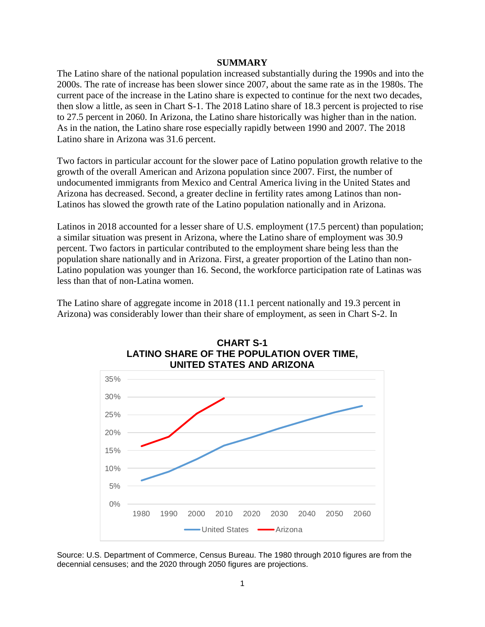#### **SUMMARY**

The Latino share of the national population increased substantially during the 1990s and into the 2000s. The rate of increase has been slower since 2007, about the same rate as in the 1980s. The current pace of the increase in the Latino share is expected to continue for the next two decades, then slow a little, as seen in Chart S-1. The 2018 Latino share of 18.3 percent is projected to rise to 27.5 percent in 2060. In Arizona, the Latino share historically was higher than in the nation. As in the nation, the Latino share rose especially rapidly between 1990 and 2007. The 2018 Latino share in Arizona was 31.6 percent.

Two factors in particular account for the slower pace of Latino population growth relative to the growth of the overall American and Arizona population since 2007. First, the number of undocumented immigrants from Mexico and Central America living in the United States and Arizona has decreased. Second, a greater decline in fertility rates among Latinos than non-Latinos has slowed the growth rate of the Latino population nationally and in Arizona.

Latinos in 2018 accounted for a lesser share of U.S. employment (17.5 percent) than population; a similar situation was present in Arizona, where the Latino share of employment was 30.9 percent. Two factors in particular contributed to the employment share being less than the population share nationally and in Arizona. First, a greater proportion of the Latino than non-Latino population was younger than 16. Second, the workforce participation rate of Latinas was less than that of non-Latina women.

The Latino share of aggregate income in 2018 (11.1 percent nationally and 19.3 percent in Arizona) was considerably lower than their share of employment, as seen in Chart S-2. In





Source: U.S. Department of Commerce, Census Bureau. The 1980 through 2010 figures are from the decennial censuses; and the 2020 through 2050 figures are projections.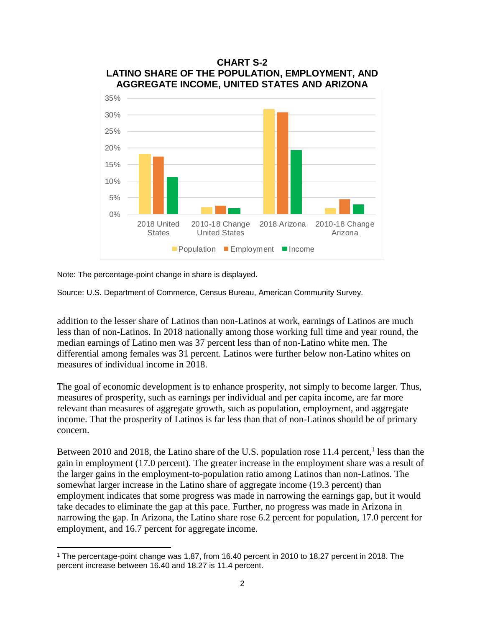

Note: The percentage-point change in share is displayed.

 $\overline{a}$ 

Source: U.S. Department of Commerce, Census Bureau, American Community Survey.

addition to the lesser share of Latinos than non-Latinos at work, earnings of Latinos are much less than of non-Latinos. In 2018 nationally among those working full time and year round, the median earnings of Latino men was 37 percent less than of non-Latino white men. The differential among females was 31 percent. Latinos were further below non-Latino whites on measures of individual income in 2018.

The goal of economic development is to enhance prosperity, not simply to become larger. Thus, measures of prosperity, such as earnings per individual and per capita income, are far more relevant than measures of aggregate growth, such as population, employment, and aggregate income. That the prosperity of Latinos is far less than that of non-Latinos should be of primary concern.

Between 2010 and 2018, the Latino share of the U.S. population rose 11.4 percent,<sup>1</sup> less than the gain in employment (17.0 percent). The greater increase in the employment share was a result of the larger gains in the employment-to-population ratio among Latinos than non-Latinos. The somewhat larger increase in the Latino share of aggregate income (19.3 percent) than employment indicates that some progress was made in narrowing the earnings gap, but it would take decades to eliminate the gap at this pace. Further, no progress was made in Arizona in narrowing the gap. In Arizona, the Latino share rose 6.2 percent for population, 17.0 percent for employment, and 16.7 percent for aggregate income.

<sup>1</sup> The percentage-point change was 1.87, from 16.40 percent in 2010 to 18.27 percent in 2018. The percent increase between 16.40 and 18.27 is 11.4 percent.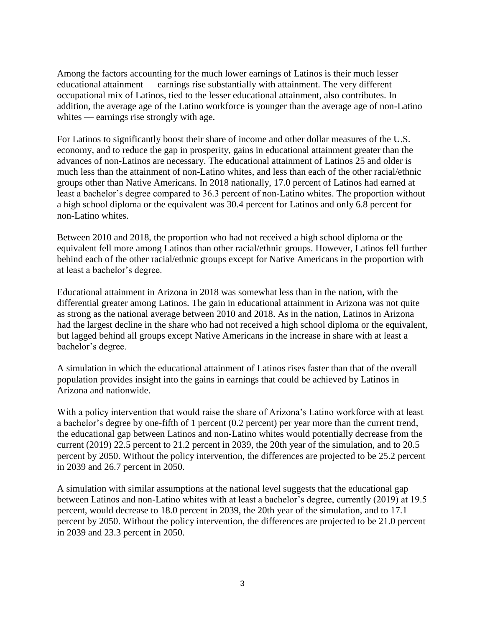Among the factors accounting for the much lower earnings of Latinos is their much lesser educational attainment — earnings rise substantially with attainment. The very different occupational mix of Latinos, tied to the lesser educational attainment, also contributes. In addition, the average age of the Latino workforce is younger than the average age of non-Latino whites — earnings rise strongly with age.

For Latinos to significantly boost their share of income and other dollar measures of the U.S. economy, and to reduce the gap in prosperity, gains in educational attainment greater than the advances of non-Latinos are necessary. The educational attainment of Latinos 25 and older is much less than the attainment of non-Latino whites, and less than each of the other racial/ethnic groups other than Native Americans. In 2018 nationally, 17.0 percent of Latinos had earned at least a bachelor's degree compared to 36.3 percent of non-Latino whites. The proportion without a high school diploma or the equivalent was 30.4 percent for Latinos and only 6.8 percent for non-Latino whites.

Between 2010 and 2018, the proportion who had not received a high school diploma or the equivalent fell more among Latinos than other racial/ethnic groups. However, Latinos fell further behind each of the other racial/ethnic groups except for Native Americans in the proportion with at least a bachelor's degree.

Educational attainment in Arizona in 2018 was somewhat less than in the nation, with the differential greater among Latinos. The gain in educational attainment in Arizona was not quite as strong as the national average between 2010 and 2018. As in the nation, Latinos in Arizona had the largest decline in the share who had not received a high school diploma or the equivalent, but lagged behind all groups except Native Americans in the increase in share with at least a bachelor's degree.

A simulation in which the educational attainment of Latinos rises faster than that of the overall population provides insight into the gains in earnings that could be achieved by Latinos in Arizona and nationwide.

With a policy intervention that would raise the share of Arizona's Latino workforce with at least a bachelor's degree by one-fifth of 1 percent (0.2 percent) per year more than the current trend, the educational gap between Latinos and non-Latino whites would potentially decrease from the current (2019) 22.5 percent to 21.2 percent in 2039, the 20th year of the simulation, and to 20.5 percent by 2050. Without the policy intervention, the differences are projected to be 25.2 percent in 2039 and 26.7 percent in 2050.

A simulation with similar assumptions at the national level suggests that the educational gap between Latinos and non-Latino whites with at least a bachelor's degree, currently (2019) at 19.5 percent, would decrease to 18.0 percent in 2039, the 20th year of the simulation, and to 17.1 percent by 2050. Without the policy intervention, the differences are projected to be 21.0 percent in 2039 and 23.3 percent in 2050.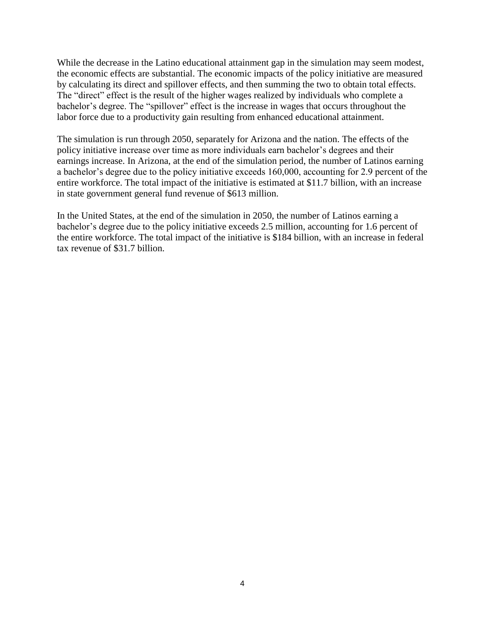While the decrease in the Latino educational attainment gap in the simulation may seem modest, the economic effects are substantial. The economic impacts of the policy initiative are measured by calculating its direct and spillover effects, and then summing the two to obtain total effects. The "direct" effect is the result of the higher wages realized by individuals who complete a bachelor's degree. The "spillover" effect is the increase in wages that occurs throughout the labor force due to a productivity gain resulting from enhanced educational attainment.

The simulation is run through 2050, separately for Arizona and the nation. The effects of the policy initiative increase over time as more individuals earn bachelor's degrees and their earnings increase. In Arizona, at the end of the simulation period, the number of Latinos earning a bachelor's degree due to the policy initiative exceeds 160,000, accounting for 2.9 percent of the entire workforce. The total impact of the initiative is estimated at \$11.7 billion, with an increase in state government general fund revenue of \$613 million.

In the United States, at the end of the simulation in 2050, the number of Latinos earning a bachelor's degree due to the policy initiative exceeds 2.5 million, accounting for 1.6 percent of the entire workforce. The total impact of the initiative is \$184 billion, with an increase in federal tax revenue of \$31.7 billion.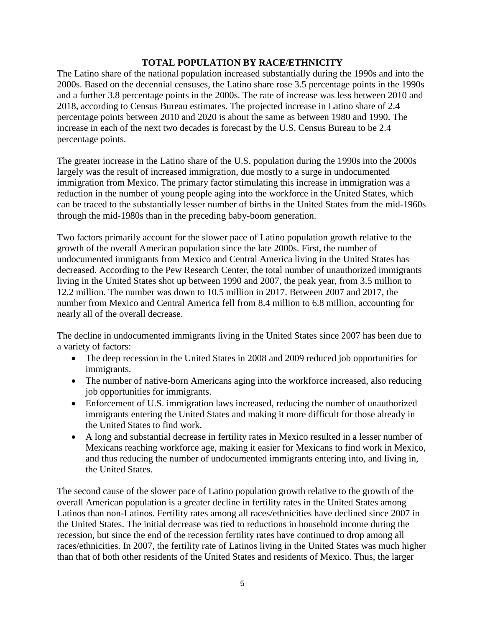# **TOTAL POPULATION BY RACE/ETHNICITY**

The Latino share of the national population increased substantially during the 1990s and into the 2000s. Based on the decennial censuses, the Latino share rose 3.5 percentage points in the 1990s and a further 3.8 percentage points in the 2000s. The rate of increase was less between 2010 and 2018, according to Census Bureau estimates. The projected increase in Latino share of 2.4 percentage points between 2010 and 2020 is about the same as between 1980 and 1990. The increase in each of the next two decades is forecast by the U.S. Census Bureau to be 2.4 percentage points.

The greater increase in the Latino share of the U.S. population during the 1990s into the 2000s largely was the result of increased immigration, due mostly to a surge in undocumented immigration from Mexico. The primary factor stimulating this increase in immigration was a reduction in the number of young people aging into the workforce in the United States, which can be traced to the substantially lesser number of births in the United States from the mid-1960s through the mid-1980s than in the preceding baby-boom generation.

Two factors primarily account for the slower pace of Latino population growth relative to the growth of the overall American population since the late 2000s. First, the number of undocumented immigrants from Mexico and Central America living in the United States has decreased. According to the Pew Research Center, the total number of unauthorized immigrants living in the United States shot up between 1990 and 2007, the peak year, from 3.5 million to 12.2 million. The number was down to 10.5 million in 2017. Between 2007 and 2017, the number from Mexico and Central America fell from 8.4 million to 6.8 million, accounting for nearly all of the overall decrease.

The decline in undocumented immigrants living in the United States since 2007 has been due to a variety of factors:

- The deep recession in the United States in 2008 and 2009 reduced job opportunities for immigrants.
- The number of native-born Americans aging into the workforce increased, also reducing job opportunities for immigrants.
- Enforcement of U.S. immigration laws increased, reducing the number of unauthorized immigrants entering the United States and making it more difficult for those already in the United States to find work.
- A long and substantial decrease in fertility rates in Mexico resulted in a lesser number of Mexicans reaching workforce age, making it easier for Mexicans to find work in Mexico, and thus reducing the number of undocumented immigrants entering into, and living in, the United States.

The second cause of the slower pace of Latino population growth relative to the growth of the overall American population is a greater decline in fertility rates in the United States among Latinos than non-Latinos. Fertility rates among all races/ethnicities have declined since 2007 in the United States. The initial decrease was tied to reductions in household income during the recession, but since the end of the recession fertility rates have continued to drop among all races/ethnicities. In 2007, the fertility rate of Latinos living in the United States was much higher than that of both other residents of the United States and residents of Mexico. Thus, the larger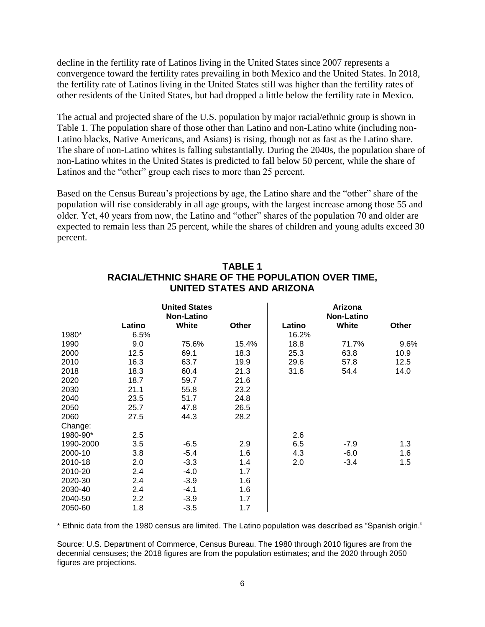decline in the fertility rate of Latinos living in the United States since 2007 represents a convergence toward the fertility rates prevailing in both Mexico and the United States. In 2018, the fertility rate of Latinos living in the United States still was higher than the fertility rates of other residents of the United States, but had dropped a little below the fertility rate in Mexico.

The actual and projected share of the U.S. population by major racial/ethnic group is shown in Table 1. The population share of those other than Latino and non-Latino white (including non-Latino blacks, Native Americans, and Asians) is rising, though not as fast as the Latino share. The share of non-Latino whites is falling substantially. During the 2040s, the population share of non-Latino whites in the United States is predicted to fall below 50 percent, while the share of Latinos and the "other" group each rises to more than 25 percent.

Based on the Census Bureau's projections by age, the Latino share and the "other" share of the population will rise considerably in all age groups, with the largest increase among those 55 and older. Yet, 40 years from now, the Latino and "other" shares of the population 70 and older are expected to remain less than 25 percent, while the shares of children and young adults exceed 30 percent.

|           |        |                                           | UNITED STATES AND ARIZONA |        | RACIAL/ETHNIC SHARE OF THE POPULATION OVER TIME. |       |
|-----------|--------|-------------------------------------------|---------------------------|--------|--------------------------------------------------|-------|
|           |        | <b>United States</b><br><b>Non-Latino</b> |                           |        | Arizona<br><b>Non-Latino</b>                     |       |
|           | Latino | White                                     | Other                     | Latino | White                                            | Other |
| 1980*     | 6.5%   |                                           |                           | 16.2%  |                                                  |       |
| 1990      | 9.0    | 75.6%                                     | 15.4%                     | 18.8   | 71.7%                                            | 9.6%  |
| 2000      | 12.5   | 69.1                                      | 18.3                      | 25.3   | 63.8                                             | 10.9  |
| 2010      | 16.3   | 63.7                                      | 19.9                      | 29.6   | 57.8                                             | 12.5  |
| 2018      | 18.3   | 60.4                                      | 21.3                      | 31.6   | 54.4                                             | 14.0  |
| 2020      | 18.7   | 59.7                                      | 21.6                      |        |                                                  |       |
| 2030      | 21.1   | 55.8                                      | 23.2                      |        |                                                  |       |
| 2040      | 23.5   | 51.7                                      | 24.8                      |        |                                                  |       |
| 2050      | 25.7   | 47.8                                      | 26.5                      |        |                                                  |       |
| 2060      | 27.5   | 44.3                                      | 28.2                      |        |                                                  |       |
| Change:   |        |                                           |                           |        |                                                  |       |
| 1980-90*  | 2.5    |                                           |                           | 2.6    |                                                  |       |
| 1990-2000 | 3.5    | $-6.5$                                    | 2.9                       | 6.5    | $-7.9$                                           | 1.3   |
| 2000-10   | 3.8    | $-5.4$                                    | 1.6                       | 4.3    | $-6.0$                                           | 1.6   |
| 2010-18   | 2.0    | $-3.3$                                    | 1.4                       | 2.0    | $-3.4$                                           | 1.5   |
| 2010-20   | 2.4    | $-4.0$                                    | 1.7                       |        |                                                  |       |
| 2020-30   | 2.4    | $-3.9$                                    | 1.6                       |        |                                                  |       |
| 2030-40   | 2.4    | $-4.1$                                    | 1.6                       |        |                                                  |       |
| 2040-50   | 2.2    | $-3.9$                                    | 1.7                       |        |                                                  |       |

# **TABLE 1 RACIAL/ETHNIC SHARE OF THE POPULATION OVER TIME,**

\* Ethnic data from the 1980 census are limited. The Latino population was described as "Spanish origin."

2050-60 1.8 -3.5 1.7

Source: U.S. Department of Commerce, Census Bureau. The 1980 through 2010 figures are from the decennial censuses; the 2018 figures are from the population estimates; and the 2020 through 2050 figures are projections.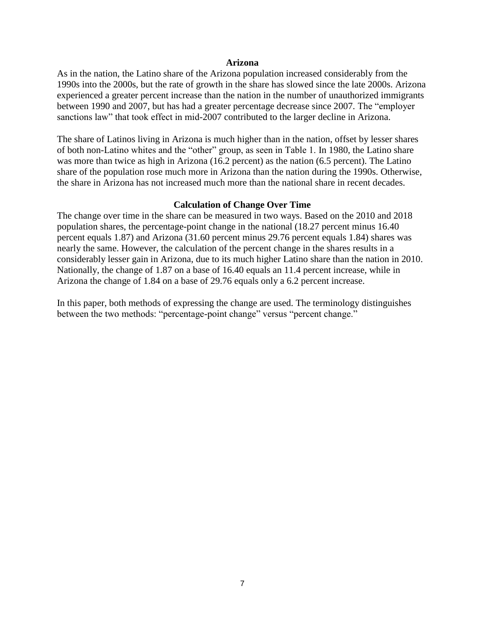#### **Arizona**

As in the nation, the Latino share of the Arizona population increased considerably from the 1990s into the 2000s, but the rate of growth in the share has slowed since the late 2000s. Arizona experienced a greater percent increase than the nation in the number of unauthorized immigrants between 1990 and 2007, but has had a greater percentage decrease since 2007. The "employer sanctions law" that took effect in mid-2007 contributed to the larger decline in Arizona.

The share of Latinos living in Arizona is much higher than in the nation, offset by lesser shares of both non-Latino whites and the "other" group, as seen in Table 1. In 1980, the Latino share was more than twice as high in Arizona (16.2 percent) as the nation (6.5 percent). The Latino share of the population rose much more in Arizona than the nation during the 1990s. Otherwise, the share in Arizona has not increased much more than the national share in recent decades.

#### **Calculation of Change Over Time**

The change over time in the share can be measured in two ways. Based on the 2010 and 2018 population shares, the percentage-point change in the national (18.27 percent minus 16.40 percent equals 1.87) and Arizona (31.60 percent minus 29.76 percent equals 1.84) shares was nearly the same. However, the calculation of the percent change in the shares results in a considerably lesser gain in Arizona, due to its much higher Latino share than the nation in 2010. Nationally, the change of 1.87 on a base of 16.40 equals an 11.4 percent increase, while in Arizona the change of 1.84 on a base of 29.76 equals only a 6.2 percent increase.

In this paper, both methods of expressing the change are used. The terminology distinguishes between the two methods: "percentage-point change" versus "percent change."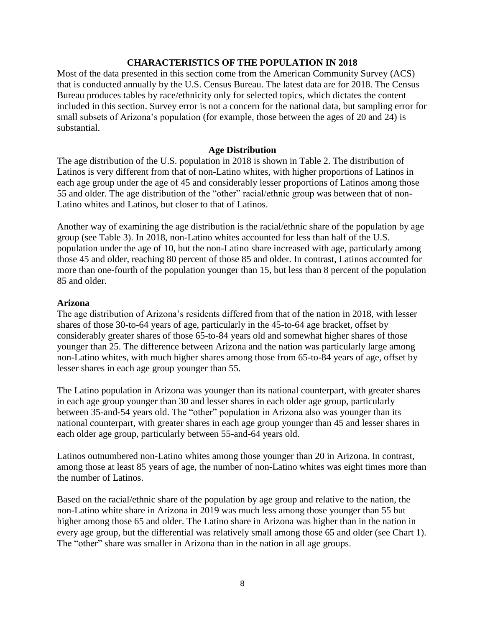#### **CHARACTERISTICS OF THE POPULATION IN 2018**

Most of the data presented in this section come from the American Community Survey (ACS) that is conducted annually by the U.S. Census Bureau. The latest data are for 2018. The Census Bureau produces tables by race/ethnicity only for selected topics, which dictates the content included in this section. Survey error is not a concern for the national data, but sampling error for small subsets of Arizona's population (for example, those between the ages of 20 and 24) is substantial.

#### **Age Distribution**

The age distribution of the U.S. population in 2018 is shown in Table 2. The distribution of Latinos is very different from that of non-Latino whites, with higher proportions of Latinos in each age group under the age of 45 and considerably lesser proportions of Latinos among those 55 and older. The age distribution of the "other" racial/ethnic group was between that of non-Latino whites and Latinos, but closer to that of Latinos.

Another way of examining the age distribution is the racial/ethnic share of the population by age group (see Table 3). In 2018, non-Latino whites accounted for less than half of the U.S. population under the age of 10, but the non-Latino share increased with age, particularly among those 45 and older, reaching 80 percent of those 85 and older. In contrast, Latinos accounted for more than one-fourth of the population younger than 15, but less than 8 percent of the population 85 and older.

#### **Arizona**

The age distribution of Arizona's residents differed from that of the nation in 2018, with lesser shares of those 30-to-64 years of age, particularly in the 45-to-64 age bracket, offset by considerably greater shares of those 65-to-84 years old and somewhat higher shares of those younger than 25. The difference between Arizona and the nation was particularly large among non-Latino whites, with much higher shares among those from 65-to-84 years of age, offset by lesser shares in each age group younger than 55.

The Latino population in Arizona was younger than its national counterpart, with greater shares in each age group younger than 30 and lesser shares in each older age group, particularly between 35-and-54 years old. The "other" population in Arizona also was younger than its national counterpart, with greater shares in each age group younger than 45 and lesser shares in each older age group, particularly between 55-and-64 years old.

Latinos outnumbered non-Latino whites among those younger than 20 in Arizona. In contrast, among those at least 85 years of age, the number of non-Latino whites was eight times more than the number of Latinos.

Based on the racial/ethnic share of the population by age group and relative to the nation, the non-Latino white share in Arizona in 2019 was much less among those younger than 55 but higher among those 65 and older. The Latino share in Arizona was higher than in the nation in every age group, but the differential was relatively small among those 65 and older (see Chart 1). The "other" share was smaller in Arizona than in the nation in all age groups.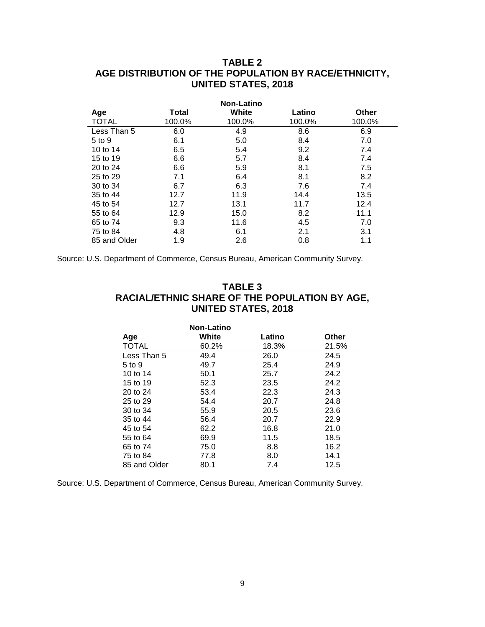# **TABLE 2 AGE DISTRIBUTION OF THE POPULATION BY RACE/ETHNICITY, UNITED STATES, 2018**

|              | <b>Non-Latino</b> |        |        |        |  |  |  |  |
|--------------|-------------------|--------|--------|--------|--|--|--|--|
| Age          | Total             | White  | Latino | Other  |  |  |  |  |
| <b>TOTAL</b> | 100.0%            | 100.0% | 100.0% | 100.0% |  |  |  |  |
| Less Than 5  | 6.0               | 4.9    | 8.6    | 6.9    |  |  |  |  |
| 5 to 9       | 6.1               | 5.0    | 8.4    | 7.0    |  |  |  |  |
| 10 to 14     | 6.5               | 5.4    | 9.2    | 7.4    |  |  |  |  |
| 15 to 19     | 6.6               | 5.7    | 8.4    | 7.4    |  |  |  |  |
| 20 to 24     | 6.6               | 5.9    | 8.1    | 7.5    |  |  |  |  |
| 25 to 29     | 7.1               | 6.4    | 8.1    | 8.2    |  |  |  |  |
| 30 to 34     | 6.7               | 6.3    | 7.6    | 7.4    |  |  |  |  |
| 35 to 44     | 12.7              | 11.9   | 14.4   | 13.5   |  |  |  |  |
| 45 to 54     | 12.7              | 13.1   | 11.7   | 12.4   |  |  |  |  |
| 55 to 64     | 12.9              | 15.0   | 8.2    | 11.1   |  |  |  |  |
| 65 to 74     | 9.3               | 11.6   | 4.5    | 7.0    |  |  |  |  |
| 75 to 84     | 4.8               | 6.1    | 2.1    | 3.1    |  |  |  |  |
| 85 and Older | 1.9               | 2.6    | 0.8    | 1.1    |  |  |  |  |

Source: U.S. Department of Commerce, Census Bureau, American Community Survey.

# **TABLE 3 RACIAL/ETHNIC SHARE OF THE POPULATION BY AGE, UNITED STATES, 2018**

| Age          | Non-Latino<br>White | Latino | Other |
|--------------|---------------------|--------|-------|
| <b>TOTAL</b> | 60.2%               | 18.3%  | 21.5% |
| Less Than 5  | 49.4                | 26.0   | 24.5  |
| 5 to 9       | 49.7                | 25.4   | 24.9  |
| 10 to 14     | 50.1                | 25.7   | 24.2  |
| 15 to 19     | 52.3                | 23.5   | 24.2  |
| 20 to 24     | 53.4                | 22.3   | 24.3  |
| 25 to 29     | 54.4                | 20.7   | 24.8  |
| 30 to 34     | 55.9                | 20.5   | 23.6  |
| 35 to 44     | 56.4                | 20.7   | 22.9  |
| 45 to 54     | 62.2                | 16.8   | 21.0  |
| 55 to 64     | 69.9                | 11.5   | 18.5  |
| 65 to 74     | 75.0                | 8.8    | 16.2  |
| 75 to 84     | 77.8                | 8.0    | 14.1  |
| 85 and Older | 80.1                | 7.4    | 12.5  |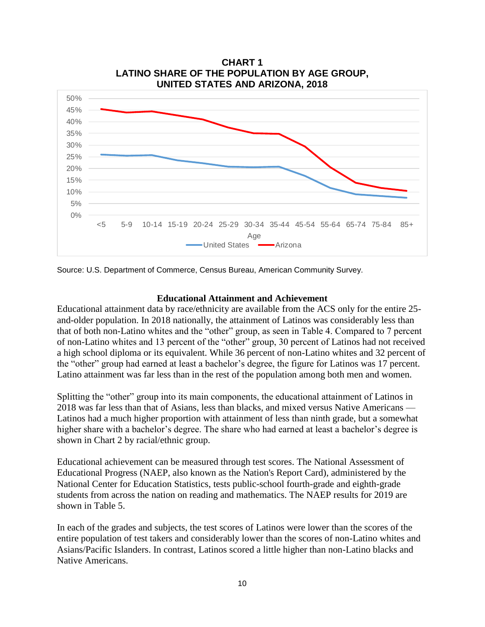

Source: U.S. Department of Commerce, Census Bureau, American Community Survey.

#### **Educational Attainment and Achievement**

Educational attainment data by race/ethnicity are available from the ACS only for the entire 25 and-older population. In 2018 nationally, the attainment of Latinos was considerably less than that of both non-Latino whites and the "other" group, as seen in Table 4. Compared to 7 percent of non-Latino whites and 13 percent of the "other" group, 30 percent of Latinos had not received a high school diploma or its equivalent. While 36 percent of non-Latino whites and 32 percent of the "other" group had earned at least a bachelor's degree, the figure for Latinos was 17 percent. Latino attainment was far less than in the rest of the population among both men and women.

Splitting the "other" group into its main components, the educational attainment of Latinos in 2018 was far less than that of Asians, less than blacks, and mixed versus Native Americans — Latinos had a much higher proportion with attainment of less than ninth grade, but a somewhat higher share with a bachelor's degree. The share who had earned at least a bachelor's degree is shown in Chart 2 by racial/ethnic group.

Educational achievement can be measured through test scores. The National Assessment of Educational Progress (NAEP, also known as the Nation's Report Card), administered by the National Center for Education Statistics, tests public-school fourth-grade and eighth-grade students from across the nation on reading and mathematics. The NAEP results for 2019 are shown in Table 5.

In each of the grades and subjects, the test scores of Latinos were lower than the scores of the entire population of test takers and considerably lower than the scores of non-Latino whites and Asians/Pacific Islanders. In contrast, Latinos scored a little higher than non-Latino blacks and Native Americans.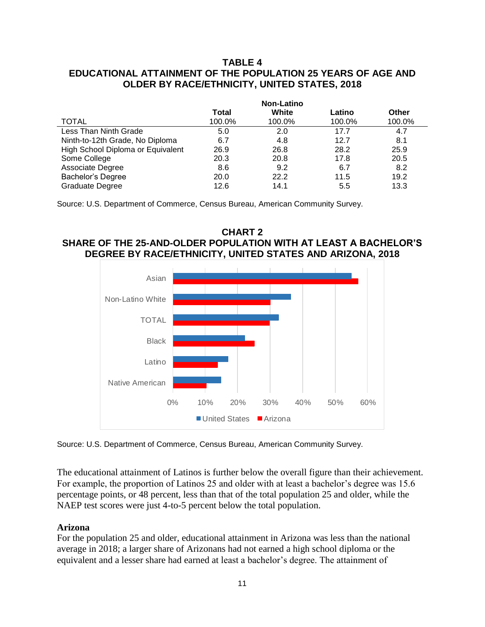# **TABLE 4 EDUCATIONAL ATTAINMENT OF THE POPULATION 25 YEARS OF AGE AND OLDER BY RACE/ETHNICITY, UNITED STATES, 2018**

|                                   | <b>Non-Latino</b> |        |        |              |  |
|-----------------------------------|-------------------|--------|--------|--------------|--|
|                                   | Total             | White  | Latino | <b>Other</b> |  |
| <b>TOTAL</b>                      | 100.0%            | 100.0% | 100.0% | 100.0%       |  |
| Less Than Ninth Grade             | 5.0               | 2.0    | 17.7   | 4.7          |  |
| Ninth-to-12th Grade, No Diploma   | 6.7               | 4.8    | 12.7   | 8.1          |  |
| High School Diploma or Equivalent | 26.9              | 26.8   | 28.2   | 25.9         |  |
| Some College                      | 20.3              | 20.8   | 17.8   | 20.5         |  |
| Associate Degree                  | 8.6               | 9.2    | 6.7    | 8.2          |  |
| Bachelor's Degree                 | 20.0              | 22.2   | 11.5   | 19.2         |  |
| Graduate Degree                   | 12.6              | 14.1   | 5.5    | 13.3         |  |

Source: U.S. Department of Commerce, Census Bureau, American Community Survey.

#### **CHART 2 SHARE OF THE 25-AND-OLDER POPULATION WITH AT LEAST A BACHELOR'S DEGREE BY RACE/ETHNICITY, UNITED STATES AND ARIZONA, 2018**



Source: U.S. Department of Commerce, Census Bureau, American Community Survey.

The educational attainment of Latinos is further below the overall figure than their achievement. For example, the proportion of Latinos 25 and older with at least a bachelor's degree was 15.6 percentage points, or 48 percent, less than that of the total population 25 and older, while the NAEP test scores were just 4-to-5 percent below the total population.

#### **Arizona**

For the population 25 and older, educational attainment in Arizona was less than the national average in 2018; a larger share of Arizonans had not earned a high school diploma or the equivalent and a lesser share had earned at least a bachelor's degree. The attainment of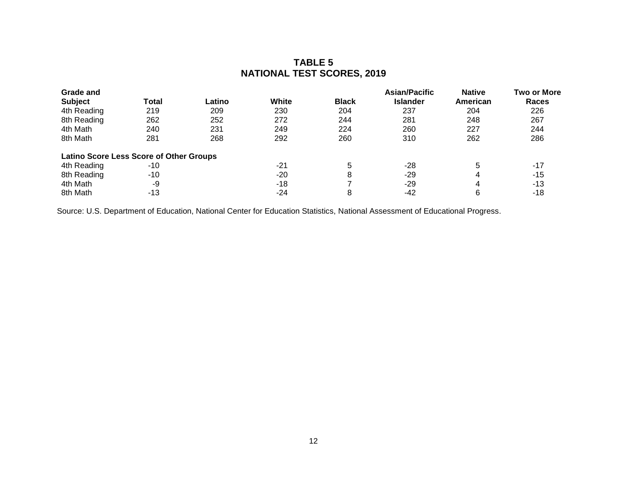# **TABLE 5 NATIONAL TEST SCORES, 2019**

| <b>Grade and</b>                               |       |        |              |              | <b>Asian/Pacific</b> | <b>Native</b> | <b>Two or More</b> |
|------------------------------------------------|-------|--------|--------------|--------------|----------------------|---------------|--------------------|
| <b>Subject</b>                                 | Total | Latino | <b>White</b> | <b>Black</b> | <b>Islander</b>      | American      | <b>Races</b>       |
| 4th Reading                                    | 219   | 209    | 230          | 204          | 237                  | 204           | 226                |
| 8th Reading                                    | 262   | 252    | 272          | 244          | 281                  | 248           | 267                |
| 4th Math                                       | 240   | 231    | 249          | 224          | 260                  | 227           | 244                |
| 8th Math                                       | 281   | 268    | 292          | 260          | 310                  | 262           | 286                |
| <b>Latino Score Less Score of Other Groups</b> |       |        |              |              |                      |               |                    |
| 4th Reading                                    | $-10$ |        | $-21$        | 5            | $-28$                | 5             | $-17$              |
| 8th Reading                                    | -10   |        | $-20$        | 8            | -29                  | 4             | -15                |
| 4th Math                                       | -9    |        | $-18$        |              | $-29$                | 4             | $-13$              |
| 8th Math                                       | $-13$ |        | -24          | 8            | -42                  | 6             | -18                |

Source: U.S. Department of Education, National Center for Education Statistics, National Assessment of Educational Progress.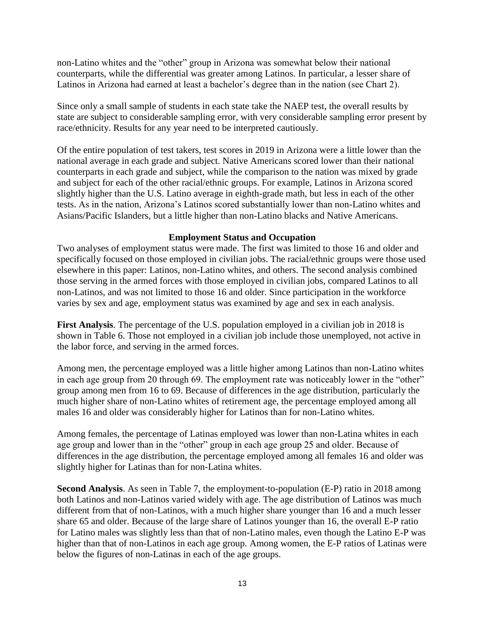non-Latino whites and the "other" group in Arizona was somewhat below their national counterparts, while the differential was greater among Latinos. In particular, a lesser share of Latinos in Arizona had earned at least a bachelor's degree than in the nation (see Chart 2).

Since only a small sample of students in each state take the NAEP test, the overall results by state are subject to considerable sampling error, with very considerable sampling error present by race/ethnicity. Results for any year need to be interpreted cautiously.

Of the entire population of test takers, test scores in 2019 in Arizona were a little lower than the national average in each grade and subject. Native Americans scored lower than their national counterparts in each grade and subject, while the comparison to the nation was mixed by grade and subject for each of the other racial/ethnic groups. For example, Latinos in Arizona scored slightly higher than the U.S. Latino average in eighth-grade math, but less in each of the other tests. As in the nation, Arizona's Latinos scored substantially lower than non-Latino whites and Asians/Pacific Islanders, but a little higher than non-Latino blacks and Native Americans.

# **Employment Status and Occupation**

Two analyses of employment status were made. The first was limited to those 16 and older and specifically focused on those employed in civilian jobs. The racial/ethnic groups were those used elsewhere in this paper: Latinos, non-Latino whites, and others. The second analysis combined those serving in the armed forces with those employed in civilian jobs, compared Latinos to all non-Latinos, and was not limited to those 16 and older. Since participation in the workforce varies by sex and age, employment status was examined by age and sex in each analysis.

**First Analysis**. The percentage of the U.S. population employed in a civilian job in 2018 is shown in Table 6. Those not employed in a civilian job include those unemployed, not active in the labor force, and serving in the armed forces.

Among men, the percentage employed was a little higher among Latinos than non-Latino whites in each age group from 20 through 69. The employment rate was noticeably lower in the "other" group among men from 16 to 69. Because of differences in the age distribution, particularly the much higher share of non-Latino whites of retirement age, the percentage employed among all males 16 and older was considerably higher for Latinos than for non-Latino whites.

Among females, the percentage of Latinas employed was lower than non-Latina whites in each age group and lower than in the "other" group in each age group 25 and older. Because of differences in the age distribution, the percentage employed among all females 16 and older was slightly higher for Latinas than for non-Latina whites.

**Second Analysis**. As seen in Table 7, the employment-to-population (E-P) ratio in 2018 among both Latinos and non-Latinos varied widely with age. The age distribution of Latinos was much different from that of non-Latinos, with a much higher share younger than 16 and a much lesser share 65 and older. Because of the large share of Latinos younger than 16, the overall E-P ratio for Latino males was slightly less than that of non-Latino males, even though the Latino E-P was higher than that of non-Latinos in each age group. Among women, the E-P ratios of Latinas were below the figures of non-Latinas in each of the age groups.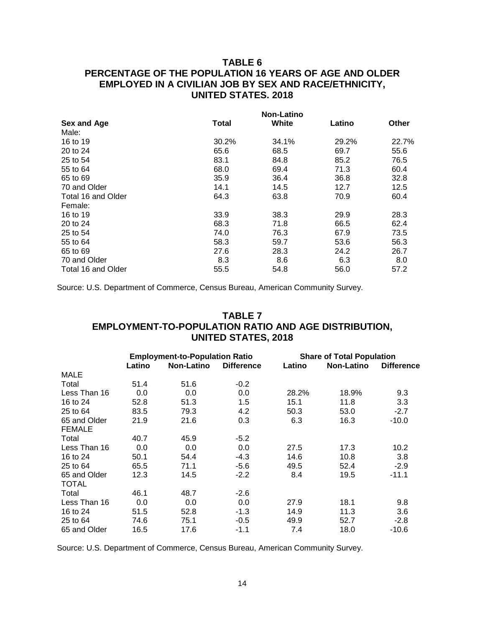# **TABLE 6 PERCENTAGE OF THE POPULATION 16 YEARS OF AGE AND OLDER EMPLOYED IN A CIVILIAN JOB BY SEX AND RACE/ETHNICITY, UNITED STATES. 2018**

|                    |              | <b>Non-Latino</b> |        |              |
|--------------------|--------------|-------------------|--------|--------------|
| Sex and Age        | <b>Total</b> | White             | Latino | <b>Other</b> |
| Male:              |              |                   |        |              |
| 16 to 19           | 30.2%        | 34.1%             | 29.2%  | 22.7%        |
| 20 to 24           | 65.6         | 68.5              | 69.7   | 55.6         |
| 25 to 54           | 83.1         | 84.8              | 85.2   | 76.5         |
| 55 to 64           | 68.0         | 69.4              | 71.3   | 60.4         |
| 65 to 69           | 35.9         | 36.4              | 36.8   | 32.8         |
| 70 and Older       | 14.1         | 14.5              | 12.7   | 12.5         |
| Total 16 and Older | 64.3         | 63.8              | 70.9   | 60.4         |
| Female:            |              |                   |        |              |
| 16 to 19           | 33.9         | 38.3              | 29.9   | 28.3         |
| 20 to 24           | 68.3         | 71.8              | 66.5   | 62.4         |
| 25 to 54           | 74.0         | 76.3              | 67.9   | 73.5         |
| 55 to 64           | 58.3         | 59.7              | 53.6   | 56.3         |
| 65 to 69           | 27.6         | 28.3              | 24.2   | 26.7         |
| 70 and Older       | 8.3          | 8.6               | 6.3    | 8.0          |
| Total 16 and Older | 55.5         | 54.8              | 56.0   | 57.2         |

Source: U.S. Department of Commerce, Census Bureau, American Community Survey.

# **TABLE 7 EMPLOYMENT-TO-POPULATION RATIO AND AGE DISTRIBUTION, UNITED STATES, 2018**

|               | <b>Employment-to-Population Ratio</b> |                   |                   | <b>Share of Total Population</b> |                   |                   |  |
|---------------|---------------------------------------|-------------------|-------------------|----------------------------------|-------------------|-------------------|--|
|               | Latino                                | <b>Non-Latino</b> | <b>Difference</b> | Latino                           | <b>Non-Latino</b> | <b>Difference</b> |  |
| <b>MALE</b>   |                                       |                   |                   |                                  |                   |                   |  |
| Total         | 51.4                                  | 51.6              | $-0.2$            |                                  |                   |                   |  |
| Less Than 16  | 0.0                                   | 0.0               | 0.0               | 28.2%                            | 18.9%             | 9.3               |  |
| 16 to 24      | 52.8                                  | 51.3              | 1.5               | 15.1                             | 11.8              | 3.3               |  |
| 25 to 64      | 83.5                                  | 79.3              | 4.2               | 50.3                             | 53.0              | $-2.7$            |  |
| 65 and Older  | 21.9                                  | 21.6              | 0.3               | 6.3                              | 16.3              | $-10.0$           |  |
| <b>FEMALE</b> |                                       |                   |                   |                                  |                   |                   |  |
| Total         | 40.7                                  | 45.9              | $-5.2$            |                                  |                   |                   |  |
| Less Than 16  | 0.0                                   | 0.0               | 0.0               | 27.5                             | 17.3              | 10.2              |  |
| 16 to 24      | 50.1                                  | 54.4              | $-4.3$            | 14.6                             | 10.8              | 3.8               |  |
| 25 to 64      | 65.5                                  | 71.1              | $-5.6$            | 49.5                             | 52.4              | $-2.9$            |  |
| 65 and Older  | 12.3                                  | 14.5              | $-2.2$            | 8.4                              | 19.5              | $-11.1$           |  |
| <b>TOTAL</b>  |                                       |                   |                   |                                  |                   |                   |  |
| Total         | 46.1                                  | 48.7              | $-2.6$            |                                  |                   |                   |  |
| Less Than 16  | 0.0                                   | 0.0               | 0.0               | 27.9                             | 18.1              | 9.8               |  |
| 16 to 24      | 51.5                                  | 52.8              | $-1.3$            | 14.9                             | 11.3              | 3.6               |  |
| 25 to 64      | 74.6                                  | 75.1              | $-0.5$            | 49.9                             | 52.7              | $-2.8$            |  |
| 65 and Older  | 16.5                                  | 17.6              | $-1.1$            | 7.4                              | 18.0              | $-10.6$           |  |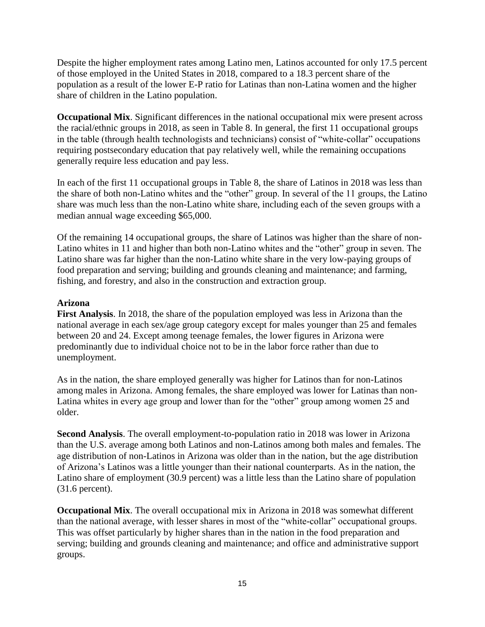Despite the higher employment rates among Latino men, Latinos accounted for only 17.5 percent of those employed in the United States in 2018, compared to a 18.3 percent share of the population as a result of the lower E-P ratio for Latinas than non-Latina women and the higher share of children in the Latino population.

**Occupational Mix**. Significant differences in the national occupational mix were present across the racial/ethnic groups in 2018, as seen in Table 8. In general, the first 11 occupational groups in the table (through health technologists and technicians) consist of "white-collar" occupations requiring postsecondary education that pay relatively well, while the remaining occupations generally require less education and pay less.

In each of the first 11 occupational groups in Table 8, the share of Latinos in 2018 was less than the share of both non-Latino whites and the "other" group. In several of the 11 groups, the Latino share was much less than the non-Latino white share, including each of the seven groups with a median annual wage exceeding \$65,000.

Of the remaining 14 occupational groups, the share of Latinos was higher than the share of non-Latino whites in 11 and higher than both non-Latino whites and the "other" group in seven. The Latino share was far higher than the non-Latino white share in the very low-paying groups of food preparation and serving; building and grounds cleaning and maintenance; and farming, fishing, and forestry, and also in the construction and extraction group.

# **Arizona**

**First Analysis**. In 2018, the share of the population employed was less in Arizona than the national average in each sex/age group category except for males younger than 25 and females between 20 and 24. Except among teenage females, the lower figures in Arizona were predominantly due to individual choice not to be in the labor force rather than due to unemployment.

As in the nation, the share employed generally was higher for Latinos than for non-Latinos among males in Arizona. Among females, the share employed was lower for Latinas than non-Latina whites in every age group and lower than for the "other" group among women 25 and older.

**Second Analysis**. The overall employment-to-population ratio in 2018 was lower in Arizona than the U.S. average among both Latinos and non-Latinos among both males and females. The age distribution of non-Latinos in Arizona was older than in the nation, but the age distribution of Arizona's Latinos was a little younger than their national counterparts. As in the nation, the Latino share of employment (30.9 percent) was a little less than the Latino share of population (31.6 percent).

**Occupational Mix**. The overall occupational mix in Arizona in 2018 was somewhat different than the national average, with lesser shares in most of the "white-collar" occupational groups. This was offset particularly by higher shares than in the nation in the food preparation and serving; building and grounds cleaning and maintenance; and office and administrative support groups.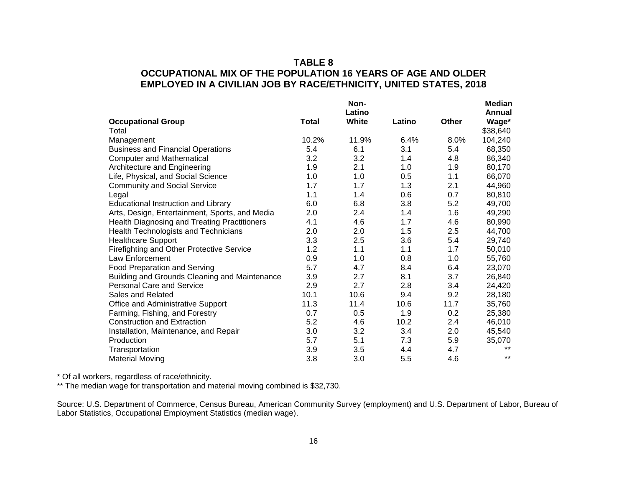# **TABLE 8 OCCUPATIONAL MIX OF THE POPULATION 16 YEARS OF AGE AND OLDER EMPLOYED IN A CIVILIAN JOB BY RACE/ETHNICITY, UNITED STATES, 2018**

|                                                |              | Non-<br>Latino |        |       | <b>Median</b><br>Annual |
|------------------------------------------------|--------------|----------------|--------|-------|-------------------------|
| <b>Occupational Group</b>                      | <b>Total</b> | White          | Latino | Other | Wage*                   |
| Total                                          |              |                |        |       | \$38,640                |
| Management                                     | 10.2%        | 11.9%          | 6.4%   | 8.0%  | 104,240                 |
| <b>Business and Financial Operations</b>       | 5.4          | 6.1            | 3.1    | 5.4   | 68,350                  |
| <b>Computer and Mathematical</b>               | 3.2          | 3.2            | 1.4    | 4.8   | 86,340                  |
| Architecture and Engineering                   | 1.9          | 2.1            | 1.0    | 1.9   | 80,170                  |
| Life, Physical, and Social Science             | 1.0          | 1.0            | 0.5    | 1.1   | 66,070                  |
| <b>Community and Social Service</b>            | 1.7          | 1.7            | 1.3    | 2.1   | 44,960                  |
| Legal                                          | 1.1          | 1.4            | 0.6    | 0.7   | 80,810                  |
| <b>Educational Instruction and Library</b>     | 6.0          | 6.8            | 3.8    | 5.2   | 49,700                  |
| Arts, Design, Entertainment, Sports, and Media | 2.0          | 2.4            | 1.4    | 1.6   | 49,290                  |
| Health Diagnosing and Treating Practitioners   | 4.1          | 4.6            | 1.7    | 4.6   | 80,990                  |
| <b>Health Technologists and Technicians</b>    | 2.0          | 2.0            | 1.5    | 2.5   | 44,700                  |
| <b>Healthcare Support</b>                      | 3.3          | 2.5            | 3.6    | 5.4   | 29,740                  |
| Firefighting and Other Protective Service      | 1.2          | 1.1            | 1.1    | 1.7   | 50,010                  |
| Law Enforcement                                | 0.9          | 1.0            | 0.8    | 1.0   | 55,760                  |
| Food Preparation and Serving                   | 5.7          | 4.7            | 8.4    | 6.4   | 23,070                  |
| Building and Grounds Cleaning and Maintenance  | 3.9          | 2.7            | 8.1    | 3.7   | 26,840                  |
| <b>Personal Care and Service</b>               | 2.9          | 2.7            | 2.8    | 3.4   | 24,420                  |
| Sales and Related                              | 10.1         | 10.6           | 9.4    | 9.2   | 28,180                  |
| Office and Administrative Support              | 11.3         | 11.4           | 10.6   | 11.7  | 35,760                  |
| Farming, Fishing, and Forestry                 | 0.7          | 0.5            | 1.9    | 0.2   | 25,380                  |
| <b>Construction and Extraction</b>             | 5.2          | 4.6            | 10.2   | 2.4   | 46,010                  |
| Installation, Maintenance, and Repair          | 3.0          | 3.2            | 3.4    | 2.0   | 45,540                  |
| Production                                     | 5.7          | 5.1            | 7.3    | 5.9   | 35,070                  |
| Transportation                                 | 3.9          | 3.5            | 4.4    | 4.7   | $***$                   |
| <b>Material Moving</b>                         | 3.8          | 3.0            | 5.5    | 4.6   | $***$                   |

\* Of all workers, regardless of race/ethnicity.

\*\* The median wage for transportation and material moving combined is \$32,730.

Source: U.S. Department of Commerce, Census Bureau, American Community Survey (employment) and U.S. Department of Labor, Bureau of Labor Statistics, Occupational Employment Statistics (median wage).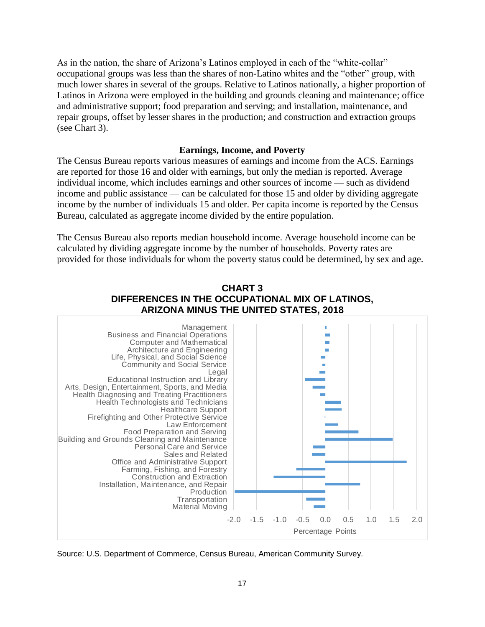As in the nation, the share of Arizona's Latinos employed in each of the "white-collar" occupational groups was less than the shares of non-Latino whites and the "other" group, with much lower shares in several of the groups. Relative to Latinos nationally, a higher proportion of Latinos in Arizona were employed in the building and grounds cleaning and maintenance; office and administrative support; food preparation and serving; and installation, maintenance, and repair groups, offset by lesser shares in the production; and construction and extraction groups (see Chart 3).

#### **Earnings, Income, and Poverty**

The Census Bureau reports various measures of earnings and income from the ACS. Earnings are reported for those 16 and older with earnings, but only the median is reported. Average individual income, which includes earnings and other sources of income — such as dividend income and public assistance — can be calculated for those 15 and older by dividing aggregate income by the number of individuals 15 and older. Per capita income is reported by the Census Bureau, calculated as aggregate income divided by the entire population.

The Census Bureau also reports median household income. Average household income can be calculated by dividing aggregate income by the number of households. Poverty rates are provided for those individuals for whom the poverty status could be determined, by sex and age.





Source: U.S. Department of Commerce, Census Bureau, American Community Survey.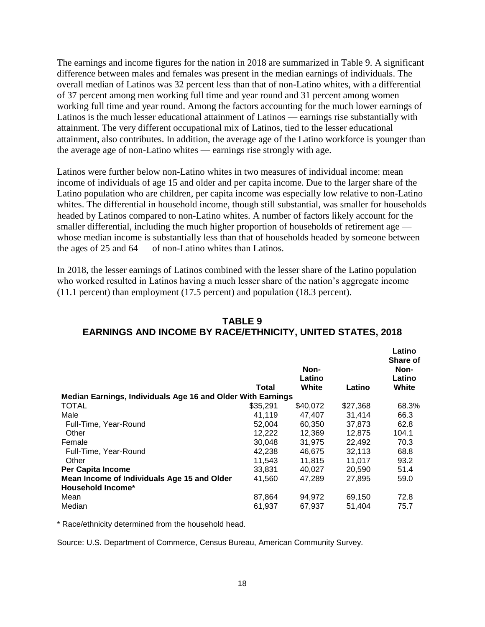The earnings and income figures for the nation in 2018 are summarized in Table 9. A significant difference between males and females was present in the median earnings of individuals. The overall median of Latinos was 32 percent less than that of non-Latino whites, with a differential of 37 percent among men working full time and year round and 31 percent among women working full time and year round. Among the factors accounting for the much lower earnings of Latinos is the much lesser educational attainment of Latinos — earnings rise substantially with attainment. The very different occupational mix of Latinos, tied to the lesser educational attainment, also contributes. In addition, the average age of the Latino workforce is younger than the average age of non-Latino whites — earnings rise strongly with age.

Latinos were further below non-Latino whites in two measures of individual income: mean income of individuals of age 15 and older and per capita income. Due to the larger share of the Latino population who are children, per capita income was especially low relative to non-Latino whites. The differential in household income, though still substantial, was smaller for households headed by Latinos compared to non-Latino whites. A number of factors likely account for the smaller differential, including the much higher proportion of households of retirement age whose median income is substantially less than that of households headed by someone between the ages of 25 and 64 — of non-Latino whites than Latinos.

In 2018, the lesser earnings of Latinos combined with the lesser share of the Latino population who worked resulted in Latinos having a much lesser share of the nation's aggregate income (11.1 percent) than employment (17.5 percent) and population (18.3 percent).

|                                                             | Total    | Non-<br>Latino<br>White | Latino   | Lautr<br>Share of<br>Non-<br>Latino<br>White |
|-------------------------------------------------------------|----------|-------------------------|----------|----------------------------------------------|
| Median Earnings, Individuals Age 16 and Older With Earnings |          |                         |          |                                              |
| <b>TOTAL</b>                                                | \$35.291 | \$40,072                | \$27,368 | 68.3%                                        |
| Male                                                        | 41,119   | 47,407                  | 31,414   | 66.3                                         |
| Full-Time, Year-Round                                       | 52.004   | 60,350                  | 37.873   | 62.8                                         |
| Other                                                       | 12,222   | 12.369                  | 12.875   | 104.1                                        |
| Female                                                      | 30.048   | 31,975                  | 22.492   | 70.3                                         |
| Full-Time, Year-Round                                       | 42.238   | 46.675                  | 32.113   | 68.8                                         |
| Other                                                       | 11,543   | 11,815                  | 11,017   | 93.2                                         |
| <b>Per Capita Income</b>                                    | 33.831   | 40.027                  | 20.590   | 51.4                                         |
| Mean Income of Individuals Age 15 and Older                 | 41,560   | 47.289                  | 27,895   | 59.0                                         |
| <b>Household Income*</b>                                    |          |                         |          |                                              |
| Mean                                                        | 87,864   | 94,972                  | 69,150   | 72.8                                         |
| Median                                                      | 61,937   | 67,937                  | 51.404   | 75.7                                         |

# **TABLE 9 EARNINGS AND INCOME BY RACE/ETHNICITY, UNITED STATES, 2018**

**Latino**

\* Race/ethnicity determined from the household head.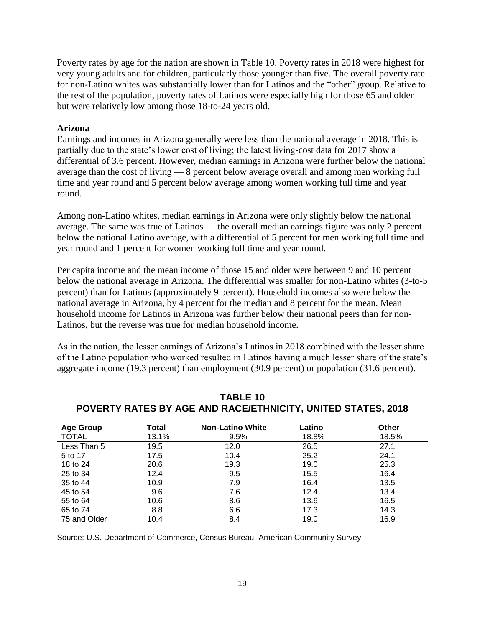Poverty rates by age for the nation are shown in Table 10. Poverty rates in 2018 were highest for very young adults and for children, particularly those younger than five. The overall poverty rate for non-Latino whites was substantially lower than for Latinos and the "other" group. Relative to the rest of the population, poverty rates of Latinos were especially high for those 65 and older but were relatively low among those 18-to-24 years old.

#### **Arizona**

Earnings and incomes in Arizona generally were less than the national average in 2018. This is partially due to the state's lower cost of living; the latest living-cost data for 2017 show a differential of 3.6 percent. However, median earnings in Arizona were further below the national average than the cost of living — 8 percent below average overall and among men working full time and year round and 5 percent below average among women working full time and year round.

Among non-Latino whites, median earnings in Arizona were only slightly below the national average. The same was true of Latinos — the overall median earnings figure was only 2 percent below the national Latino average, with a differential of 5 percent for men working full time and year round and 1 percent for women working full time and year round.

Per capita income and the mean income of those 15 and older were between 9 and 10 percent below the national average in Arizona. The differential was smaller for non-Latino whites (3-to-5 percent) than for Latinos (approximately 9 percent). Household incomes also were below the national average in Arizona, by 4 percent for the median and 8 percent for the mean. Mean household income for Latinos in Arizona was further below their national peers than for non-Latinos, but the reverse was true for median household income.

As in the nation, the lesser earnings of Arizona's Latinos in 2018 combined with the lesser share of the Latino population who worked resulted in Latinos having a much lesser share of the state's aggregate income (19.3 percent) than employment (30.9 percent) or population (31.6 percent).

| <b>Age Group</b> | Total | <b>Non-Latino White</b> | Latino | <b>Other</b> |
|------------------|-------|-------------------------|--------|--------------|
| <b>TOTAL</b>     | 13.1% | 9.5%                    | 18.8%  | 18.5%        |
| Less Than 5      | 19.5  | 12.0                    | 26.5   | 27.1         |
| 5 to 17          | 17.5  | 10.4                    | 25.2   | 24.1         |
| 18 to 24         | 20.6  | 19.3                    | 19.0   | 25.3         |
| 25 to 34         | 12.4  | 9.5                     | 15.5   | 16.4         |
| 35 to 44         | 10.9  | 7.9                     | 16.4   | 13.5         |
| 45 to 54         | 9.6   | 7.6                     | 12.4   | 13.4         |
| 55 to 64         | 10.6  | 8.6                     | 13.6   | 16.5         |
| 65 to 74         | 8.8   | 6.6                     | 17.3   | 14.3         |
| 75 and Older     | 10.4  | 8.4                     | 19.0   | 16.9         |

# **TABLE 10 POVERTY RATES BY AGE AND RACE/ETHNICITY, UNITED STATES, 2018**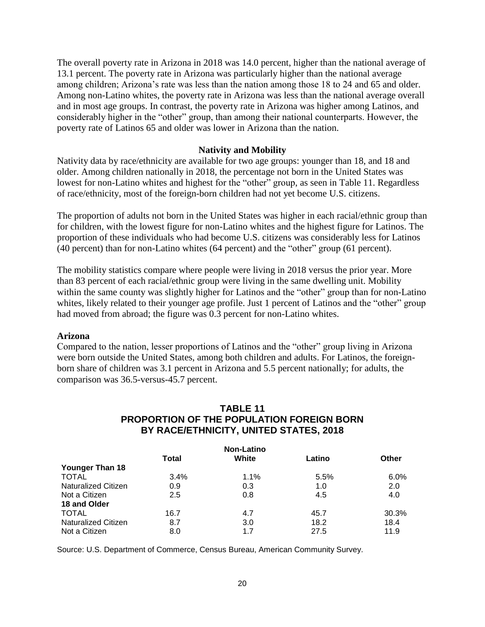The overall poverty rate in Arizona in 2018 was 14.0 percent, higher than the national average of 13.1 percent. The poverty rate in Arizona was particularly higher than the national average among children; Arizona's rate was less than the nation among those 18 to 24 and 65 and older. Among non-Latino whites, the poverty rate in Arizona was less than the national average overall and in most age groups. In contrast, the poverty rate in Arizona was higher among Latinos, and considerably higher in the "other" group, than among their national counterparts. However, the poverty rate of Latinos 65 and older was lower in Arizona than the nation.

#### **Nativity and Mobility**

Nativity data by race/ethnicity are available for two age groups: younger than 18, and 18 and older. Among children nationally in 2018, the percentage not born in the United States was lowest for non-Latino whites and highest for the "other" group, as seen in Table 11. Regardless of race/ethnicity, most of the foreign-born children had not yet become U.S. citizens.

The proportion of adults not born in the United States was higher in each racial/ethnic group than for children, with the lowest figure for non-Latino whites and the highest figure for Latinos. The proportion of these individuals who had become U.S. citizens was considerably less for Latinos (40 percent) than for non-Latino whites (64 percent) and the "other" group (61 percent).

The mobility statistics compare where people were living in 2018 versus the prior year. More than 83 percent of each racial/ethnic group were living in the same dwelling unit. Mobility within the same county was slightly higher for Latinos and the "other" group than for non-Latino whites, likely related to their younger age profile. Just 1 percent of Latinos and the "other" group had moved from abroad; the figure was 0.3 percent for non-Latino whites.

#### **Arizona**

Compared to the nation, lesser proportions of Latinos and the "other" group living in Arizona were born outside the United States, among both children and adults. For Latinos, the foreignborn share of children was 3.1 percent in Arizona and 5.5 percent nationally; for adults, the comparison was 36.5-versus-45.7 percent.

#### **TABLE 11 PROPORTION OF THE POPULATION FOREIGN BORN BY RACE/ETHNICITY, UNITED STATES, 2018**

| <b>Non-Latino</b>          |              |       |        |              |
|----------------------------|--------------|-------|--------|--------------|
|                            | <b>Total</b> | White | Latino | <b>Other</b> |
| <b>Younger Than 18</b>     |              |       |        |              |
| <b>TOTAL</b>               | 3.4%         | 1.1%  | 5.5%   | 6.0%         |
| <b>Naturalized Citizen</b> | 0.9          | 0.3   | 1.0    | 2.0          |
| Not a Citizen              | 2.5          | 0.8   | 4.5    | 4.0          |
| 18 and Older               |              |       |        |              |
| <b>TOTAL</b>               | 16.7         | 4.7   | 45.7   | 30.3%        |
| <b>Naturalized Citizen</b> | 8.7          | 3.0   | 18.2   | 18.4         |
| Not a Citizen              | 8.0          | 1.7   | 27.5   | 11.9         |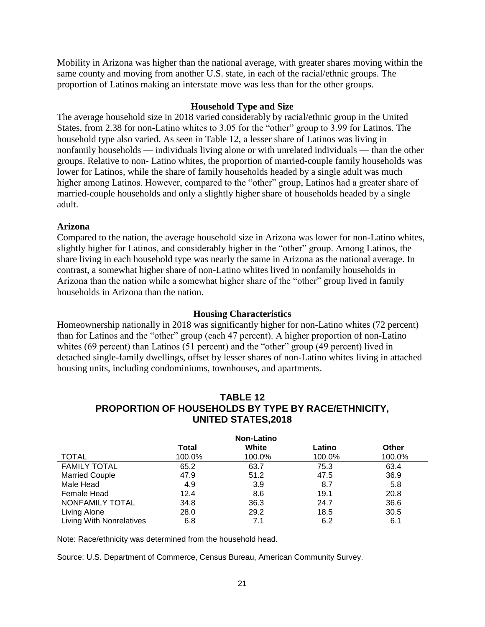Mobility in Arizona was higher than the national average, with greater shares moving within the same county and moving from another U.S. state, in each of the racial/ethnic groups. The proportion of Latinos making an interstate move was less than for the other groups.

#### **Household Type and Size**

The average household size in 2018 varied considerably by racial/ethnic group in the United States, from 2.38 for non-Latino whites to 3.05 for the "other" group to 3.99 for Latinos. The household type also varied. As seen in Table 12, a lesser share of Latinos was living in nonfamily households — individuals living alone or with unrelated individuals — than the other groups. Relative to non- Latino whites, the proportion of married-couple family households was lower for Latinos, while the share of family households headed by a single adult was much higher among Latinos. However, compared to the "other" group, Latinos had a greater share of married-couple households and only a slightly higher share of households headed by a single adult.

#### **Arizona**

Compared to the nation, the average household size in Arizona was lower for non-Latino whites, slightly higher for Latinos, and considerably higher in the "other" group. Among Latinos, the share living in each household type was nearly the same in Arizona as the national average. In contrast, a somewhat higher share of non-Latino whites lived in nonfamily households in Arizona than the nation while a somewhat higher share of the "other" group lived in family households in Arizona than the nation.

#### **Housing Characteristics**

Homeownership nationally in 2018 was significantly higher for non-Latino whites (72 percent) than for Latinos and the "other" group (each 47 percent). A higher proportion of non-Latino whites (69 percent) than Latinos (51 percent) and the "other" group (49 percent) lived in detached single-family dwellings, offset by lesser shares of non-Latino whites living in attached housing units, including condominiums, townhouses, and apartments.

# **TABLE 12 PROPORTION OF HOUSEHOLDS BY TYPE BY RACE/ETHNICITY, UNITED STATES,2018**

|                          |        | <b>Non-Latino</b> |        |              |
|--------------------------|--------|-------------------|--------|--------------|
|                          | Total  | White             | Latino | <b>Other</b> |
| <b>TOTAL</b>             | 100.0% | 100.0%            | 100.0% | 100.0%       |
| <b>FAMILY TOTAL</b>      | 65.2   | 63.7              | 75.3   | 63.4         |
| <b>Married Couple</b>    | 47.9   | 51.2              | 47.5   | 36.9         |
| Male Head                | 4.9    | 3.9               | 8.7    | 5.8          |
| Female Head              | 12.4   | 8.6               | 19.1   | 20.8         |
| NONFAMILY TOTAL          | 34.8   | 36.3              | 24.7   | 36.6         |
| Living Alone             | 28.0   | 29.2              | 18.5   | 30.5         |
| Living With Nonrelatives | 6.8    | 7.1               | 6.2    | 6.1          |

Note: Race/ethnicity was determined from the household head.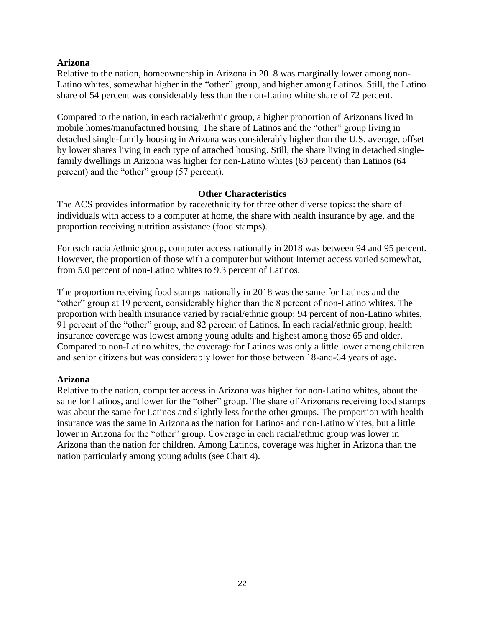# **Arizona**

Relative to the nation, homeownership in Arizona in 2018 was marginally lower among non-Latino whites, somewhat higher in the "other" group, and higher among Latinos. Still, the Latino share of 54 percent was considerably less than the non-Latino white share of 72 percent.

Compared to the nation, in each racial/ethnic group, a higher proportion of Arizonans lived in mobile homes/manufactured housing. The share of Latinos and the "other" group living in detached single-family housing in Arizona was considerably higher than the U.S. average, offset by lower shares living in each type of attached housing. Still, the share living in detached singlefamily dwellings in Arizona was higher for non-Latino whites (69 percent) than Latinos (64 percent) and the "other" group (57 percent).

#### **Other Characteristics**

The ACS provides information by race/ethnicity for three other diverse topics: the share of individuals with access to a computer at home, the share with health insurance by age, and the proportion receiving nutrition assistance (food stamps).

For each racial/ethnic group, computer access nationally in 2018 was between 94 and 95 percent. However, the proportion of those with a computer but without Internet access varied somewhat, from 5.0 percent of non-Latino whites to 9.3 percent of Latinos.

The proportion receiving food stamps nationally in 2018 was the same for Latinos and the "other" group at 19 percent, considerably higher than the 8 percent of non-Latino whites. The proportion with health insurance varied by racial/ethnic group: 94 percent of non-Latino whites, 91 percent of the "other" group, and 82 percent of Latinos. In each racial/ethnic group, health insurance coverage was lowest among young adults and highest among those 65 and older. Compared to non-Latino whites, the coverage for Latinos was only a little lower among children and senior citizens but was considerably lower for those between 18-and-64 years of age.

#### **Arizona**

Relative to the nation, computer access in Arizona was higher for non-Latino whites, about the same for Latinos, and lower for the "other" group. The share of Arizonans receiving food stamps was about the same for Latinos and slightly less for the other groups. The proportion with health insurance was the same in Arizona as the nation for Latinos and non-Latino whites, but a little lower in Arizona for the "other" group. Coverage in each racial/ethnic group was lower in Arizona than the nation for children. Among Latinos, coverage was higher in Arizona than the nation particularly among young adults (see Chart 4).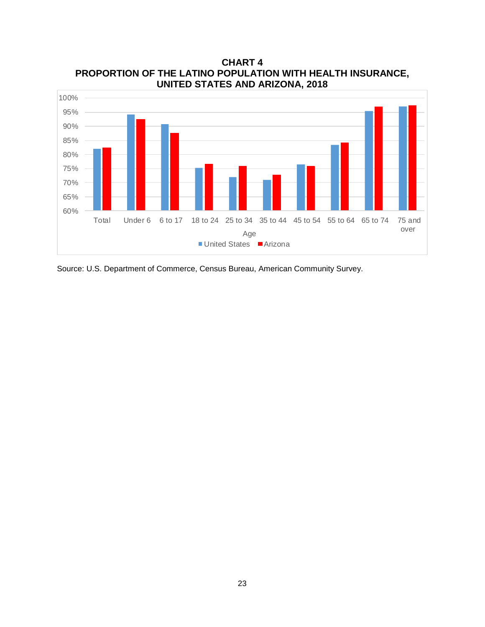

**CHART 4 PROPORTION OF THE LATINO POPULATION WITH HEALTH INSURANCE, UNITED STATES AND ARIZONA, 2018**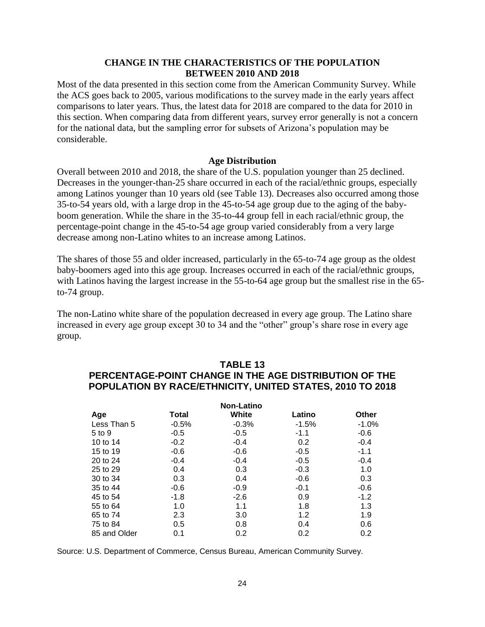# **CHANGE IN THE CHARACTERISTICS OF THE POPULATION BETWEEN 2010 AND 2018**

Most of the data presented in this section come from the American Community Survey. While the ACS goes back to 2005, various modifications to the survey made in the early years affect comparisons to later years. Thus, the latest data for 2018 are compared to the data for 2010 in this section. When comparing data from different years, survey error generally is not a concern for the national data, but the sampling error for subsets of Arizona's population may be considerable.

#### **Age Distribution**

Overall between 2010 and 2018, the share of the U.S. population younger than 25 declined. Decreases in the younger-than-25 share occurred in each of the racial/ethnic groups, especially among Latinos younger than 10 years old (see Table 13). Decreases also occurred among those 35-to-54 years old, with a large drop in the 45-to-54 age group due to the aging of the babyboom generation. While the share in the 35-to-44 group fell in each racial/ethnic group, the percentage-point change in the 45-to-54 age group varied considerably from a very large decrease among non-Latino whites to an increase among Latinos.

The shares of those 55 and older increased, particularly in the 65-to-74 age group as the oldest baby-boomers aged into this age group. Increases occurred in each of the racial/ethnic groups, with Latinos having the largest increase in the 55-to-64 age group but the smallest rise in the 65 to-74 group.

The non-Latino white share of the population decreased in every age group. The Latino share increased in every age group except 30 to 34 and the "other" group's share rose in every age group.

#### **TABLE 13 PERCENTAGE-POINT CHANGE IN THE AGE DISTRIBUTION OF THE POPULATION BY RACE/ETHNICITY, UNITED STATES, 2010 TO 2018**

| <b>Non-Latino</b> |         |         |         |         |  |
|-------------------|---------|---------|---------|---------|--|
| Age               | Total   | White   | Latino  | Other   |  |
| Less Than 5       | $-0.5%$ | $-0.3%$ | $-1.5%$ | $-1.0%$ |  |
| 5 to 9            | $-0.5$  | $-0.5$  | $-1.1$  | $-0.6$  |  |
| 10 to 14          | $-0.2$  | $-0.4$  | 0.2     | $-0.4$  |  |
| 15 to 19          | $-0.6$  | $-0.6$  | $-0.5$  | $-1.1$  |  |
| 20 to 24          | $-0.4$  | $-0.4$  | $-0.5$  | $-0.4$  |  |
| 25 to 29          | 0.4     | 0.3     | $-0.3$  | 1.0     |  |
| 30 to 34          | 0.3     | 0.4     | $-0.6$  | 0.3     |  |
| 35 to 44          | $-0.6$  | $-0.9$  | $-0.1$  | $-0.6$  |  |
| 45 to 54          | $-1.8$  | $-2.6$  | 0.9     | $-1.2$  |  |
| 55 to 64          | 1.0     | 1.1     | 1.8     | 1.3     |  |
| 65 to 74          | 2.3     | 3.0     | 1.2     | 1.9     |  |
| 75 to 84          | 0.5     | 0.8     | 0.4     | 0.6     |  |
| 85 and Older      | 0.1     | 0.2     | 0.2     | 0.2     |  |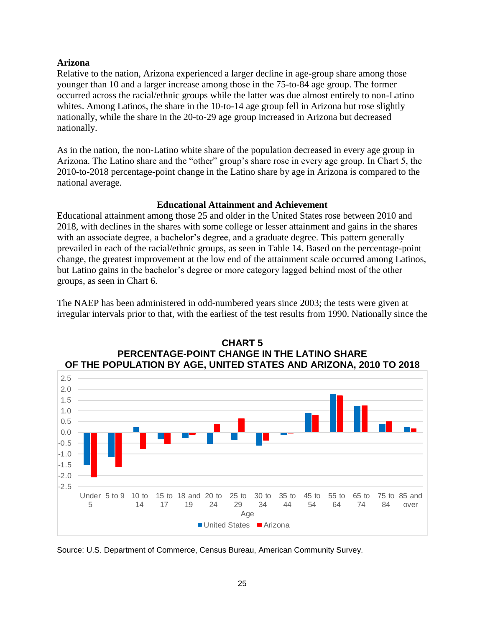# **Arizona**

Relative to the nation, Arizona experienced a larger decline in age-group share among those younger than 10 and a larger increase among those in the 75-to-84 age group. The former occurred across the racial/ethnic groups while the latter was due almost entirely to non-Latino whites. Among Latinos, the share in the 10-to-14 age group fell in Arizona but rose slightly nationally, while the share in the 20-to-29 age group increased in Arizona but decreased nationally.

As in the nation, the non-Latino white share of the population decreased in every age group in Arizona. The Latino share and the "other" group's share rose in every age group. In Chart 5, the 2010-to-2018 percentage-point change in the Latino share by age in Arizona is compared to the national average.

# **Educational Attainment and Achievement**

Educational attainment among those 25 and older in the United States rose between 2010 and 2018, with declines in the shares with some college or lesser attainment and gains in the shares with an associate degree, a bachelor's degree, and a graduate degree. This pattern generally prevailed in each of the racial/ethnic groups, as seen in Table 14. Based on the percentage-point change, the greatest improvement at the low end of the attainment scale occurred among Latinos, but Latino gains in the bachelor's degree or more category lagged behind most of the other groups, as seen in Chart 6.

The NAEP has been administered in odd-numbered years since 2003; the tests were given at irregular intervals prior to that, with the earliest of the test results from 1990. Nationally since the



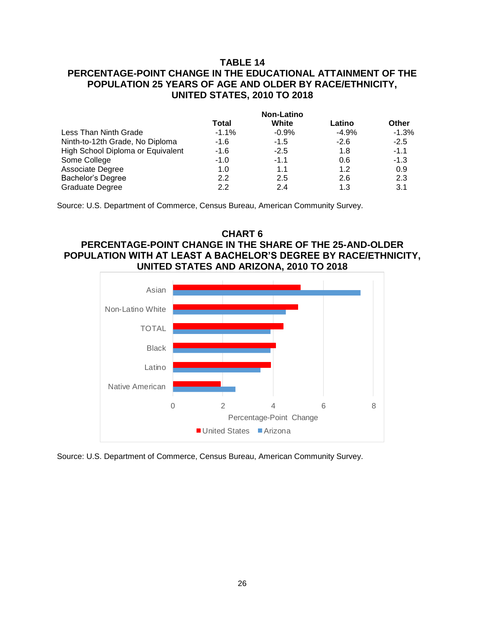# **TABLE 14 PERCENTAGE-POINT CHANGE IN THE EDUCATIONAL ATTAINMENT OF THE POPULATION 25 YEARS OF AGE AND OLDER BY RACE/ETHNICITY, UNITED STATES, 2010 TO 2018**

|                                   | <b>Non-Latino</b> |         |         |              |
|-----------------------------------|-------------------|---------|---------|--------------|
|                                   | Total             | White   | Latino  | <b>Other</b> |
| Less Than Ninth Grade             | $-1.1%$           | $-0.9%$ | $-4.9%$ | $-1.3%$      |
| Ninth-to-12th Grade, No Diploma   | -1.6              | $-1.5$  | $-2.6$  | $-2.5$       |
| High School Diploma or Equivalent | -1.6              | $-2.5$  | 1.8     | $-1.1$       |
| Some College                      | $-1.0$            | $-1.1$  | 0.6     | $-1.3$       |
| Associate Degree                  | 1.0               | 1.1     | 1.2     | 0.9          |
| Bachelor's Degree                 | 2.2               | 2.5     | 2.6     | 2.3          |
| <b>Graduate Degree</b>            | 2.2               | 2.4     | 1.3     | 3.1          |

Source: U.S. Department of Commerce, Census Bureau, American Community Survey.

# **CHART 6 PERCENTAGE-POINT CHANGE IN THE SHARE OF THE 25-AND-OLDER POPULATION WITH AT LEAST A BACHELOR'S DEGREE BY RACE/ETHNICITY, UNITED STATES AND ARIZONA, 2010 TO 2018**

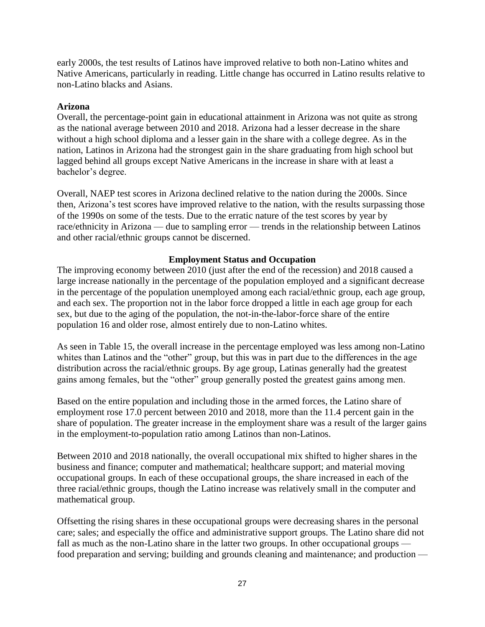early 2000s, the test results of Latinos have improved relative to both non-Latino whites and Native Americans, particularly in reading. Little change has occurred in Latino results relative to non-Latino blacks and Asians.

#### **Arizona**

Overall, the percentage-point gain in educational attainment in Arizona was not quite as strong as the national average between 2010 and 2018. Arizona had a lesser decrease in the share without a high school diploma and a lesser gain in the share with a college degree. As in the nation, Latinos in Arizona had the strongest gain in the share graduating from high school but lagged behind all groups except Native Americans in the increase in share with at least a bachelor's degree.

Overall, NAEP test scores in Arizona declined relative to the nation during the 2000s. Since then, Arizona's test scores have improved relative to the nation, with the results surpassing those of the 1990s on some of the tests. Due to the erratic nature of the test scores by year by race/ethnicity in Arizona — due to sampling error — trends in the relationship between Latinos and other racial/ethnic groups cannot be discerned.

#### **Employment Status and Occupation**

The improving economy between 2010 (just after the end of the recession) and 2018 caused a large increase nationally in the percentage of the population employed and a significant decrease in the percentage of the population unemployed among each racial/ethnic group, each age group, and each sex. The proportion not in the labor force dropped a little in each age group for each sex, but due to the aging of the population, the not-in-the-labor-force share of the entire population 16 and older rose, almost entirely due to non-Latino whites.

As seen in Table 15, the overall increase in the percentage employed was less among non-Latino whites than Latinos and the "other" group, but this was in part due to the differences in the age distribution across the racial/ethnic groups. By age group, Latinas generally had the greatest gains among females, but the "other" group generally posted the greatest gains among men.

Based on the entire population and including those in the armed forces, the Latino share of employment rose 17.0 percent between 2010 and 2018, more than the 11.4 percent gain in the share of population. The greater increase in the employment share was a result of the larger gains in the employment-to-population ratio among Latinos than non-Latinos.

Between 2010 and 2018 nationally, the overall occupational mix shifted to higher shares in the business and finance; computer and mathematical; healthcare support; and material moving occupational groups. In each of these occupational groups, the share increased in each of the three racial/ethnic groups, though the Latino increase was relatively small in the computer and mathematical group.

Offsetting the rising shares in these occupational groups were decreasing shares in the personal care; sales; and especially the office and administrative support groups. The Latino share did not fall as much as the non-Latino share in the latter two groups. In other occupational groups food preparation and serving; building and grounds cleaning and maintenance; and production —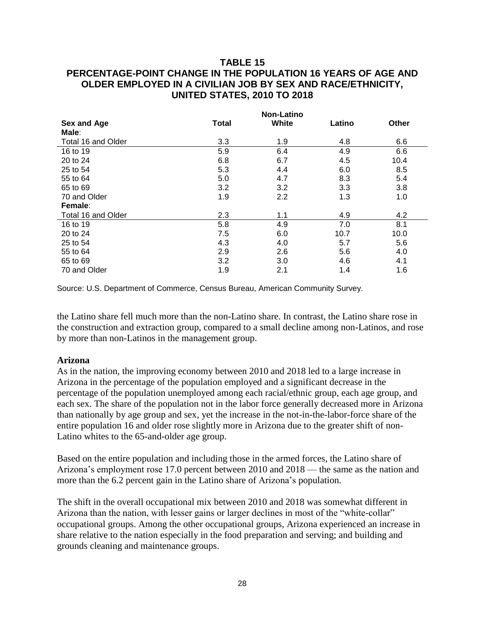# **TABLE 15**

# **PERCENTAGE-POINT CHANGE IN THE POPULATION 16 YEARS OF AGE AND OLDER EMPLOYED IN A CIVILIAN JOB BY SEX AND RACE/ETHNICITY, UNITED STATES, 2010 TO 2018**

|                             | <b>Non-Latino</b> |        |       |  |
|-----------------------------|-------------------|--------|-------|--|
| <b>Total</b><br>Sex and Age | White             | Latino | Other |  |
| Male:                       |                   |        |       |  |
| Total 16 and Older<br>3.3   | 1.9               | 4.8    | 6.6   |  |
| 5.9<br>16 to 19             | 6.4               | 4.9    | 6.6   |  |
| 6.8<br>20 to 24             | 6.7               | 4.5    | 10.4  |  |
| 25 to 54<br>5.3             | 4.4               | 6.0    | 8.5   |  |
| 5.0<br>55 to 64             | 4.7               | 8.3    | 5.4   |  |
| 3.2<br>65 to 69             | 3.2               | 3.3    | 3.8   |  |
| 70 and Older<br>1.9         | 2.2               | 1.3    | 1.0   |  |
| Female:                     |                   |        |       |  |
| Total 16 and Older<br>2.3   | 1.1               | 4.9    | 4.2   |  |
| 5.8<br>16 to 19             | 4.9               | 7.0    | 8.1   |  |
| 7.5<br>20 to 24             | 6.0               | 10.7   | 10.0  |  |
| 25 to 54<br>4.3             | 4.0               | 5.7    | 5.6   |  |
| 2.9<br>55 to 64             | 2.6               | 5.6    | 4.0   |  |
| 3.2<br>65 to 69             | 3.0               | 4.6    | 4.1   |  |
| 1.9<br>70 and Older         | 2.1               | 1.4    | 1.6   |  |

Source: U.S. Department of Commerce, Census Bureau, American Community Survey.

the Latino share fell much more than the non-Latino share. In contrast, the Latino share rose in the construction and extraction group, compared to a small decline among non-Latinos, and rose by more than non-Latinos in the management group.

#### **Arizona**

As in the nation, the improving economy between 2010 and 2018 led to a large increase in Arizona in the percentage of the population employed and a significant decrease in the percentage of the population unemployed among each racial/ethnic group, each age group, and each sex. The share of the population not in the labor force generally decreased more in Arizona than nationally by age group and sex, yet the increase in the not-in-the-labor-force share of the entire population 16 and older rose slightly more in Arizona due to the greater shift of non-Latino whites to the 65-and-older age group.

Based on the entire population and including those in the armed forces, the Latino share of Arizona's employment rose 17.0 percent between 2010 and 2018 — the same as the nation and more than the 6.2 percent gain in the Latino share of Arizona's population.

The shift in the overall occupational mix between 2010 and 2018 was somewhat different in Arizona than the nation, with lesser gains or larger declines in most of the "white-collar" occupational groups. Among the other occupational groups, Arizona experienced an increase in share relative to the nation especially in the food preparation and serving; and building and grounds cleaning and maintenance groups.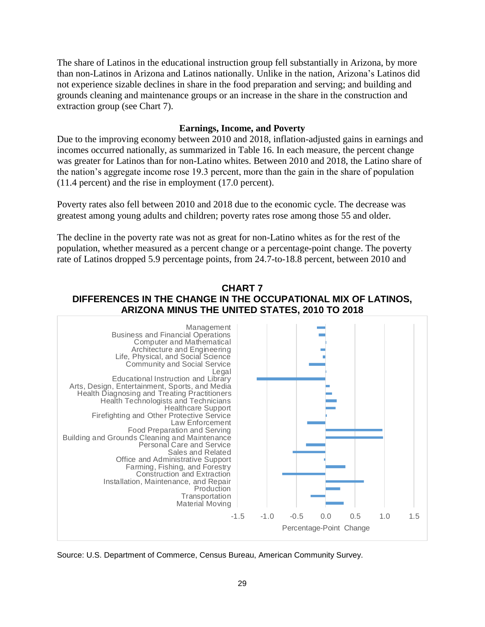The share of Latinos in the educational instruction group fell substantially in Arizona, by more than non-Latinos in Arizona and Latinos nationally. Unlike in the nation, Arizona's Latinos did not experience sizable declines in share in the food preparation and serving; and building and grounds cleaning and maintenance groups or an increase in the share in the construction and extraction group (see Chart 7).

#### **Earnings, Income, and Poverty**

Due to the improving economy between 2010 and 2018, inflation-adjusted gains in earnings and incomes occurred nationally, as summarized in Table 16. In each measure, the percent change was greater for Latinos than for non-Latino whites. Between 2010 and 2018, the Latino share of the nation's aggregate income rose 19.3 percent, more than the gain in the share of population (11.4 percent) and the rise in employment (17.0 percent).

Poverty rates also fell between 2010 and 2018 due to the economic cycle. The decrease was greatest among young adults and children; poverty rates rose among those 55 and older.

The decline in the poverty rate was not as great for non-Latino whites as for the rest of the population, whether measured as a percent change or a percentage-point change. The poverty rate of Latinos dropped 5.9 percentage points, from 24.7-to-18.8 percent, between 2010 and

#### **CHART 7 DIFFERENCES IN THE CHANGE IN THE OCCUPATIONAL MIX OF LATINOS, ARIZONA MINUS THE UNITED STATES, 2010 TO 2018**



Source: U.S. Department of Commerce, Census Bureau, American Community Survey.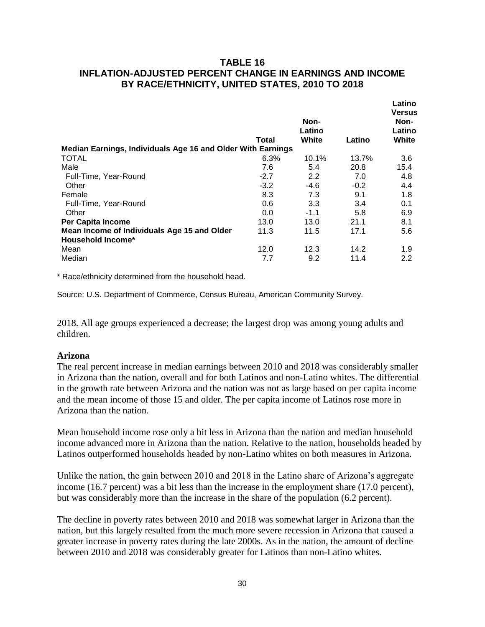# **TABLE 16 INFLATION-ADJUSTED PERCENT CHANGE IN EARNINGS AND INCOME BY RACE/ETHNICITY, UNITED STATES, 2010 TO 2018**

|                                                             | <b>Total</b> | Non-<br>Latino<br>White | Latino | Latino<br><b>Versus</b><br>Non-<br>Latino<br>White |
|-------------------------------------------------------------|--------------|-------------------------|--------|----------------------------------------------------|
| Median Earnings, Individuals Age 16 and Older With Earnings |              |                         |        |                                                    |
| <b>TOTAL</b>                                                | 6.3%         | 10.1%                   | 13.7%  | 3.6                                                |
| Male                                                        | 7.6          | 5.4                     | 20.8   | 15.4                                               |
| Full-Time, Year-Round                                       | $-2.7$       | 2.2                     | 7.0    | 4.8                                                |
| Other                                                       | $-3.2$       | $-4.6$                  | $-0.2$ | 4.4                                                |
| Female                                                      | 8.3          | 7.3                     | 9.1    | 1.8                                                |
| Full-Time, Year-Round                                       | 0.6          | 3.3                     | 3.4    | 0.1                                                |
| Other                                                       | 0.0          | $-1.1$                  | 5.8    | 6.9                                                |
| <b>Per Capita Income</b>                                    | 13.0         | 13.0                    | 21.1   | 8.1                                                |
| Mean Income of Individuals Age 15 and Older                 | 11.3         | 11.5                    | 17.1   | 5.6                                                |
| <b>Household Income*</b>                                    |              |                         |        |                                                    |
| Mean                                                        | 12.0         | 12.3                    | 14.2   | 1.9                                                |
| Median                                                      | 7.7          | 9.2                     | 11.4   | 2.2                                                |
|                                                             |              |                         |        |                                                    |

\* Race/ethnicity determined from the household head.

Source: U.S. Department of Commerce, Census Bureau, American Community Survey.

2018. All age groups experienced a decrease; the largest drop was among young adults and children.

#### **Arizona**

The real percent increase in median earnings between 2010 and 2018 was considerably smaller in Arizona than the nation, overall and for both Latinos and non-Latino whites. The differential in the growth rate between Arizona and the nation was not as large based on per capita income and the mean income of those 15 and older. The per capita income of Latinos rose more in Arizona than the nation.

Mean household income rose only a bit less in Arizona than the nation and median household income advanced more in Arizona than the nation. Relative to the nation, households headed by Latinos outperformed households headed by non-Latino whites on both measures in Arizona.

Unlike the nation, the gain between 2010 and 2018 in the Latino share of Arizona's aggregate income (16.7 percent) was a bit less than the increase in the employment share (17.0 percent), but was considerably more than the increase in the share of the population (6.2 percent).

The decline in poverty rates between 2010 and 2018 was somewhat larger in Arizona than the nation, but this largely resulted from the much more severe recession in Arizona that caused a greater increase in poverty rates during the late 2000s. As in the nation, the amount of decline between 2010 and 2018 was considerably greater for Latinos than non-Latino whites.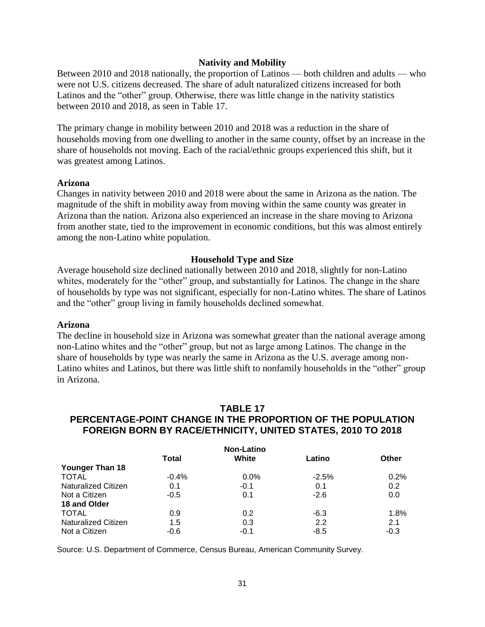#### **Nativity and Mobility**

Between 2010 and 2018 nationally, the proportion of Latinos — both children and adults — who were not U.S. citizens decreased. The share of adult naturalized citizens increased for both Latinos and the "other" group. Otherwise, there was little change in the nativity statistics between 2010 and 2018, as seen in Table 17.

The primary change in mobility between 2010 and 2018 was a reduction in the share of households moving from one dwelling to another in the same county, offset by an increase in the share of households not moving. Each of the racial/ethnic groups experienced this shift, but it was greatest among Latinos.

#### **Arizona**

Changes in nativity between 2010 and 2018 were about the same in Arizona as the nation. The magnitude of the shift in mobility away from moving within the same county was greater in Arizona than the nation. Arizona also experienced an increase in the share moving to Arizona from another state, tied to the improvement in economic conditions, but this was almost entirely among the non-Latino white population.

#### **Household Type and Size**

Average household size declined nationally between 2010 and 2018, slightly for non-Latino whites, moderately for the "other" group, and substantially for Latinos. The change in the share of households by type was not significant, especially for non-Latino whites. The share of Latinos and the "other" group living in family households declined somewhat.

#### **Arizona**

The decline in household size in Arizona was somewhat greater than the national average among non-Latino whites and the "other" group, but not as large among Latinos. The change in the share of households by type was nearly the same in Arizona as the U.S. average among non-Latino whites and Latinos, but there was little shift to nonfamily households in the "other" group in Arizona.

#### **TABLE 17 PERCENTAGE-POINT CHANGE IN THE PROPORTION OF THE POPULATION FOREIGN BORN BY RACE/ETHNICITY, UNITED STATES, 2010 TO 2018**

| <b>Non-Latino</b>          |              |         |         |              |
|----------------------------|--------------|---------|---------|--------------|
|                            | <b>Total</b> | White   | Latino  | <b>Other</b> |
| Younger Than 18            |              |         |         |              |
| <b>TOTAL</b>               | $-0.4%$      | $0.0\%$ | $-2.5%$ | 0.2%         |
| <b>Naturalized Citizen</b> | 0.1          | $-0.1$  | 0.1     | 0.2          |
| Not a Citizen              | $-0.5$       | 0.1     | $-2.6$  | 0.0          |
| 18 and Older               |              |         |         |              |
| <b>TOTAL</b>               | 0.9          | 0.2     | -6.3    | $1.8\%$      |
| <b>Naturalized Citizen</b> | 1.5          | 0.3     | 2.2     | 2.1          |
| Not a Citizen              | $-0.6$       | $-0.1$  | $-8.5$  | $-0.3$       |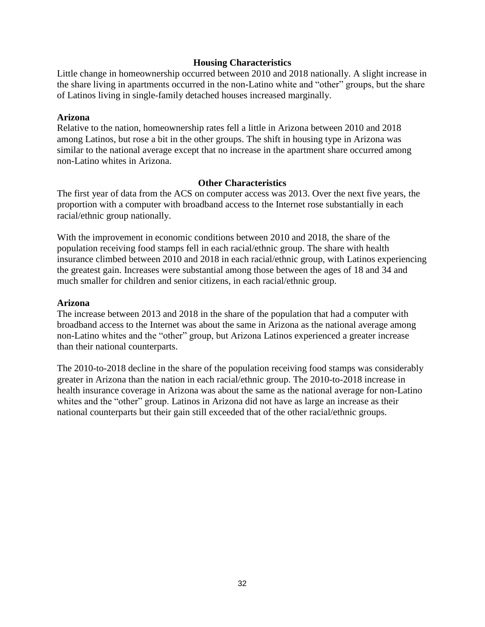#### **Housing Characteristics**

Little change in homeownership occurred between 2010 and 2018 nationally. A slight increase in the share living in apartments occurred in the non-Latino white and "other" groups, but the share of Latinos living in single-family detached houses increased marginally.

#### **Arizona**

Relative to the nation, homeownership rates fell a little in Arizona between 2010 and 2018 among Latinos, but rose a bit in the other groups. The shift in housing type in Arizona was similar to the national average except that no increase in the apartment share occurred among non-Latino whites in Arizona.

#### **Other Characteristics**

The first year of data from the ACS on computer access was 2013. Over the next five years, the proportion with a computer with broadband access to the Internet rose substantially in each racial/ethnic group nationally.

With the improvement in economic conditions between 2010 and 2018, the share of the population receiving food stamps fell in each racial/ethnic group. The share with health insurance climbed between 2010 and 2018 in each racial/ethnic group, with Latinos experiencing the greatest gain. Increases were substantial among those between the ages of 18 and 34 and much smaller for children and senior citizens, in each racial/ethnic group.

#### **Arizona**

The increase between 2013 and 2018 in the share of the population that had a computer with broadband access to the Internet was about the same in Arizona as the national average among non-Latino whites and the "other" group, but Arizona Latinos experienced a greater increase than their national counterparts.

The 2010-to-2018 decline in the share of the population receiving food stamps was considerably greater in Arizona than the nation in each racial/ethnic group. The 2010-to-2018 increase in health insurance coverage in Arizona was about the same as the national average for non-Latino whites and the "other" group. Latinos in Arizona did not have as large an increase as their national counterparts but their gain still exceeded that of the other racial/ethnic groups.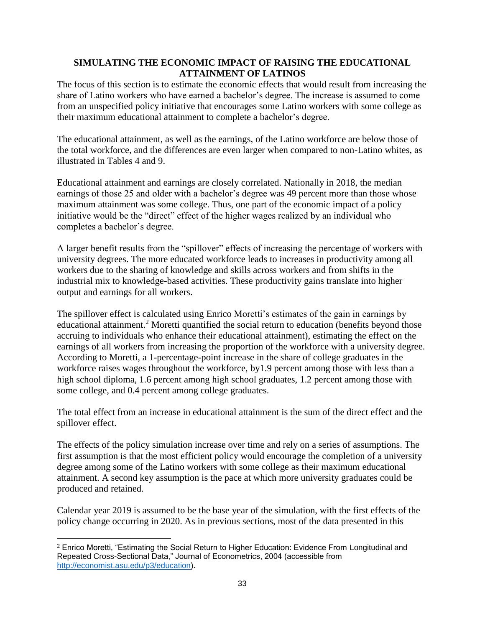# **SIMULATING THE ECONOMIC IMPACT OF RAISING THE EDUCATIONAL ATTAINMENT OF LATINOS**

The focus of this section is to estimate the economic effects that would result from increasing the share of Latino workers who have earned a bachelor's degree. The increase is assumed to come from an unspecified policy initiative that encourages some Latino workers with some college as their maximum educational attainment to complete a bachelor's degree.

The educational attainment, as well as the earnings, of the Latino workforce are below those of the total workforce, and the differences are even larger when compared to non-Latino whites, as illustrated in Tables 4 and 9.

Educational attainment and earnings are closely correlated. Nationally in 2018, the median earnings of those 25 and older with a bachelor's degree was 49 percent more than those whose maximum attainment was some college. Thus, one part of the economic impact of a policy initiative would be the "direct" effect of the higher wages realized by an individual who completes a bachelor's degree.

A larger benefit results from the "spillover" effects of increasing the percentage of workers with university degrees. The more educated workforce leads to increases in productivity among all workers due to the sharing of knowledge and skills across workers and from shifts in the industrial mix to knowledge-based activities. These productivity gains translate into higher output and earnings for all workers.

The spillover effect is calculated using Enrico Moretti's estimates of the gain in earnings by educational attainment.<sup>2</sup> Moretti quantified the social return to education (benefits beyond those accruing to individuals who enhance their educational attainment), estimating the effect on the earnings of all workers from increasing the proportion of the workforce with a university degree. According to Moretti, a 1-percentage-point increase in the share of college graduates in the workforce raises wages throughout the workforce, by1.9 percent among those with less than a high school diploma, 1.6 percent among high school graduates, 1.2 percent among those with some college, and 0.4 percent among college graduates.

The total effect from an increase in educational attainment is the sum of the direct effect and the spillover effect.

The effects of the policy simulation increase over time and rely on a series of assumptions. The first assumption is that the most efficient policy would encourage the completion of a university degree among some of the Latino workers with some college as their maximum educational attainment. A second key assumption is the pace at which more university graduates could be produced and retained.

Calendar year 2019 is assumed to be the base year of the simulation, with the first effects of the policy change occurring in 2020. As in previous sections, most of the data presented in this

 $\overline{\phantom{a}}$ <sup>2</sup> Enrico Moretti, "Estimating the Social Return to Higher Education: Evidence From Longitudinal and Repeated Cross-Sectional Data," Journal of Econometrics, 2004 (accessible from [http://economist.asu.edu/p3/education\)](http://economist.asu.edu/p3/education).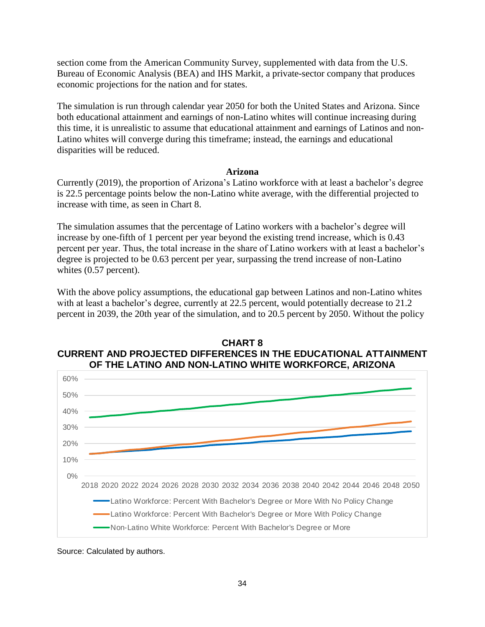section come from the American Community Survey, supplemented with data from the U.S. Bureau of Economic Analysis (BEA) and IHS Markit, a private-sector company that produces economic projections for the nation and for states.

The simulation is run through calendar year 2050 for both the United States and Arizona. Since both educational attainment and earnings of non-Latino whites will continue increasing during this time, it is unrealistic to assume that educational attainment and earnings of Latinos and non-Latino whites will converge during this timeframe; instead, the earnings and educational disparities will be reduced.

#### **Arizona**

Currently (2019), the proportion of Arizona's Latino workforce with at least a bachelor's degree is 22.5 percentage points below the non-Latino white average, with the differential projected to increase with time, as seen in Chart 8.

The simulation assumes that the percentage of Latino workers with a bachelor's degree will increase by one-fifth of 1 percent per year beyond the existing trend increase, which is 0.43 percent per year. Thus, the total increase in the share of Latino workers with at least a bachelor's degree is projected to be 0.63 percent per year, surpassing the trend increase of non-Latino whites (0.57 percent).

With the above policy assumptions, the educational gap between Latinos and non-Latino whites with at least a bachelor's degree, currently at 22.5 percent, would potentially decrease to 21.2 percent in 2039, the 20th year of the simulation, and to 20.5 percent by 2050. Without the policy





Source: Calculated by authors.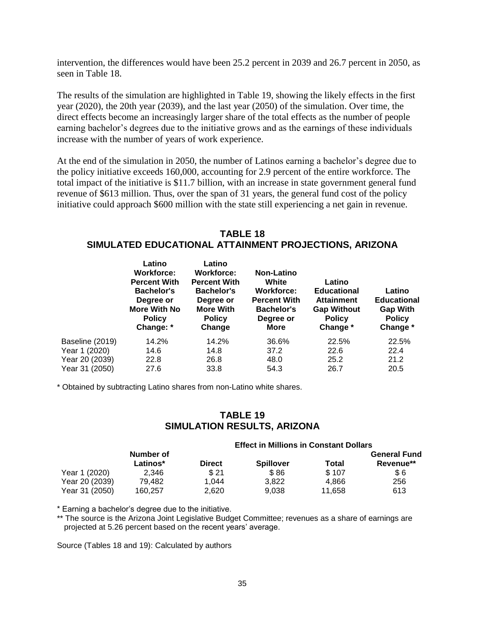intervention, the differences would have been 25.2 percent in 2039 and 26.7 percent in 2050, as seen in Table 18.

The results of the simulation are highlighted in Table 19, showing the likely effects in the first year (2020), the 20th year (2039), and the last year (2050) of the simulation. Over time, the direct effects become an increasingly larger share of the total effects as the number of people earning bachelor's degrees due to the initiative grows and as the earnings of these individuals increase with the number of years of work experience.

At the end of the simulation in 2050, the number of Latinos earning a bachelor's degree due to the policy initiative exceeds 160,000, accounting for 2.9 percent of the entire workforce. The total impact of the initiative is \$11.7 billion, with an increase in state government general fund revenue of \$613 million. Thus, over the span of 31 years, the general fund cost of the policy initiative could approach \$600 million with the state still experiencing a net gain in revenue.

# **TABLE 18 SIMULATED EDUCATIONAL ATTAINMENT PROJECTIONS, ARIZONA**

|                 | Latino<br><b>Workforce:</b><br><b>Percent With</b><br><b>Bachelor's</b><br>Degree or<br><b>More With No</b><br><b>Policy</b><br>Change: * | Latino<br><b>Workforce:</b><br><b>Percent With</b><br><b>Bachelor's</b><br>Degree or<br><b>More With</b><br><b>Policy</b><br>Change | <b>Non-Latino</b><br>White<br><b>Workforce:</b><br><b>Percent With</b><br><b>Bachelor's</b><br>Degree or<br>More | Latino<br><b>Educational</b><br><b>Attainment</b><br><b>Gap Without</b><br><b>Policy</b><br>Change * | Latino<br><b>Educational</b><br><b>Gap With</b><br><b>Policy</b><br>Change * |
|-----------------|-------------------------------------------------------------------------------------------------------------------------------------------|-------------------------------------------------------------------------------------------------------------------------------------|------------------------------------------------------------------------------------------------------------------|------------------------------------------------------------------------------------------------------|------------------------------------------------------------------------------|
| Baseline (2019) | 14.2%                                                                                                                                     | 14.2%                                                                                                                               | 36.6%                                                                                                            | 22.5%                                                                                                | 22.5%                                                                        |
| Year 1 (2020)   | 14.6                                                                                                                                      | 14.8                                                                                                                                | 37.2                                                                                                             | 22.6                                                                                                 | 22.4                                                                         |
| Year 20 (2039)  | 22.8                                                                                                                                      | 26.8                                                                                                                                | 48.0                                                                                                             | 25.2                                                                                                 | 21.2                                                                         |
| Year 31 (2050)  | 27.6                                                                                                                                      | 33.8                                                                                                                                | 54.3                                                                                                             | 26.7                                                                                                 | 20.5                                                                         |

\* Obtained by subtracting Latino shares from non-Latino white shares.

# **TABLE 19 SIMULATION RESULTS, ARIZONA**

|                | <b>Effect in Millions in Constant Dollars</b> |               |                  |        |                     |
|----------------|-----------------------------------------------|---------------|------------------|--------|---------------------|
|                | Number of                                     |               |                  |        | <b>General Fund</b> |
|                | Latinos*                                      | <b>Direct</b> | <b>Spillover</b> | Total  | Revenue**           |
| Year 1 (2020)  | 2.346                                         | \$21          | \$86             | \$107  | \$6                 |
| Year 20 (2039) | 79.482                                        | 1.044         | 3.822            | 4.866  | 256                 |
| Year 31 (2050) | 160.257                                       | 2.620         | 9.038            | 11,658 | 613                 |

\* Earning a bachelor's degree due to the initiative.

\*\* The source is the Arizona Joint Legislative Budget Committee; revenues as a share of earnings are projected at 5.26 percent based on the recent years' average.

Source (Tables 18 and 19): Calculated by authors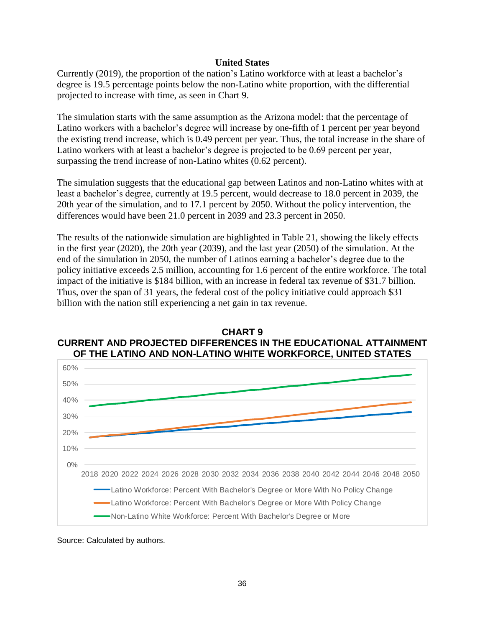#### **United States**

Currently (2019), the proportion of the nation's Latino workforce with at least a bachelor's degree is 19.5 percentage points below the non-Latino white proportion, with the differential projected to increase with time, as seen in Chart 9.

The simulation starts with the same assumption as the Arizona model: that the percentage of Latino workers with a bachelor's degree will increase by one-fifth of 1 percent per year beyond the existing trend increase, which is 0.49 percent per year. Thus, the total increase in the share of Latino workers with at least a bachelor's degree is projected to be 0.69 percent per year, surpassing the trend increase of non-Latino whites (0.62 percent).

The simulation suggests that the educational gap between Latinos and non-Latino whites with at least a bachelor's degree, currently at 19.5 percent, would decrease to 18.0 percent in 2039, the 20th year of the simulation, and to 17.1 percent by 2050. Without the policy intervention, the differences would have been 21.0 percent in 2039 and 23.3 percent in 2050.

The results of the nationwide simulation are highlighted in Table 21, showing the likely effects in the first year (2020), the 20th year (2039), and the last year (2050) of the simulation. At the end of the simulation in 2050, the number of Latinos earning a bachelor's degree due to the policy initiative exceeds 2.5 million, accounting for 1.6 percent of the entire workforce. The total impact of the initiative is \$184 billion, with an increase in federal tax revenue of \$31.7 billion. Thus, over the span of 31 years, the federal cost of the policy initiative could approach \$31 billion with the nation still experiencing a net gain in tax revenue.





Source: Calculated by authors.